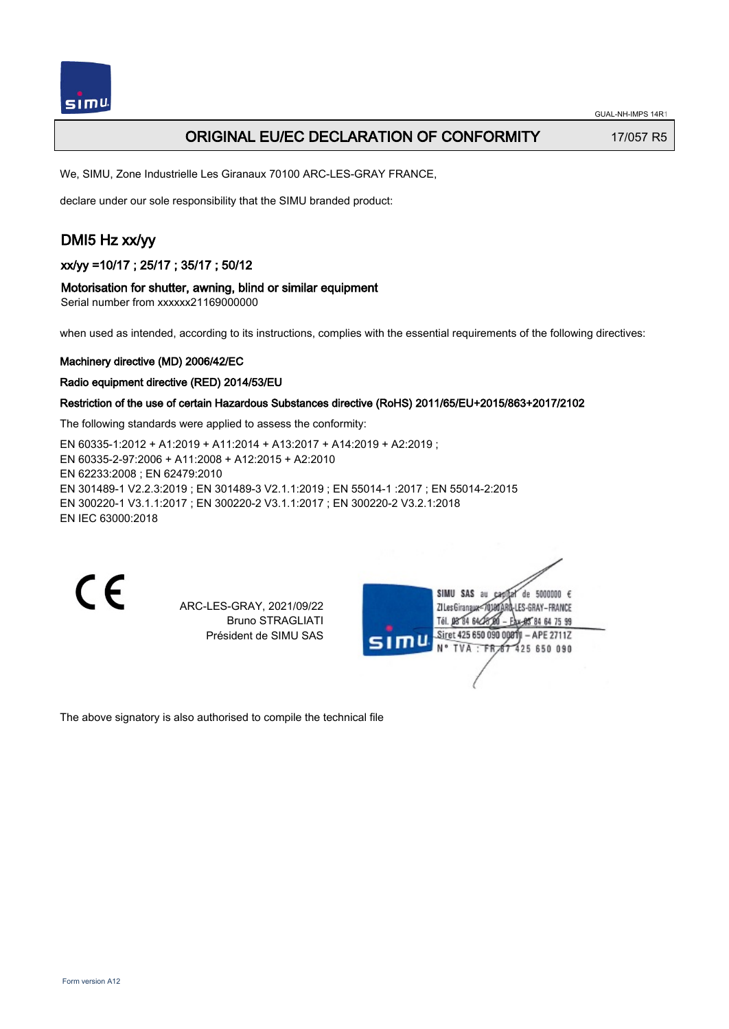

## ORIGINAL EU/EC DECLARATION OF CONFORMITY 17/057 R5

We, SIMU, Zone Industrielle Les Giranaux 70100 ARC-LES-GRAY FRANCE,

declare under our sole responsibility that the SIMU branded product:

# DMI5 Hz xx/yy

### xx/yy =10/17 ; 25/17 ; 35/17 ; 50/12

#### Motorisation for shutter, awning, blind or similar equipment

Serial number from xxxxxx21169000000

when used as intended, according to its instructions, complies with the essential requirements of the following directives:

#### Machinery directive (MD) 2006/42/EC

#### Radio equipment directive (RED) 2014/53/EU

### Restriction of the use of certain Hazardous Substances directive (RoHS) 2011/65/EU+2015/863+2017/2102

The following standards were applied to assess the conformity:

EN 60335‑1:2012 + A1:2019 + A11:2014 + A13:2017 + A14:2019 + A2:2019 ; EN 60335‑2‑97:2006 + A11:2008 + A12:2015 + A2:2010 EN 62233:2008 ; EN 62479:2010 EN 301489‑1 V2.2.3:2019 ; EN 301489‑3 V2.1.1:2019 ; EN 55014‑1 :2017 ; EN 55014‑2:2015 EN 300220‑1 V3.1.1:2017 ; EN 300220‑2 V3.1.1:2017 ; EN 300220‑2 V3.2.1:2018 EN IEC 63000:2018

 $\epsilon$ 

ARC-LES-GRAY, 2021/09/22 Bruno STRAGLIATI Président de SIMU SAS

de 5000000  $\epsilon$ **ZILesGiranaug** ES-GRAY-FRANCE THE DR'RA 64/2 85 84 64 75 99 Siret 425 650 090 00811 - APE 2711Z FR 67 425 650 090 **TVA** 

The above signatory is also authorised to compile the technical file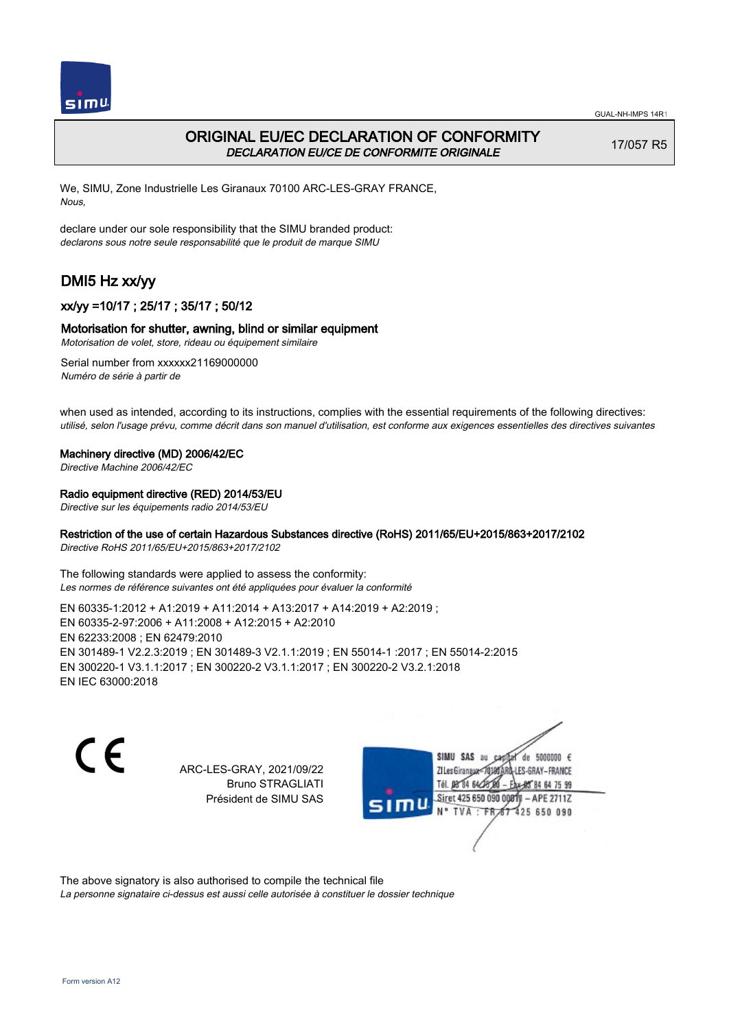

# ORIGINAL EU/EC DECLARATION OF CONFORMITY DECLARATION EU/CE DE CONFORMITE ORIGINALE

17/057 R5

We, SIMU, Zone Industrielle Les Giranaux 70100 ARC-LES-GRAY FRANCE, Nous,

declare under our sole responsibility that the SIMU branded product: declarons sous notre seule responsabilité que le produit de marque SIMU

# DMI5 Hz xx/yy

## xx/yy =10/17 ; 25/17 ; 35/17 ; 50/12

### Motorisation for shutter, awning, blind or similar equipment

Motorisation de volet, store, rideau ou équipement similaire

Serial number from xxxxxx21169000000 Numéro de série à partir de

when used as intended, according to its instructions, complies with the essential requirements of the following directives: utilisé, selon l'usage prévu, comme décrit dans son manuel d'utilisation, est conforme aux exigences essentielles des directives suivantes

### Machinery directive (MD) 2006/42/EC

Directive Machine 2006/42/EC

### Radio equipment directive (RED) 2014/53/EU

Directive sur les équipements radio 2014/53/EU

### Restriction of the use of certain Hazardous Substances directive (RoHS) 2011/65/EU+2015/863+2017/2102

Directive RoHS 2011/65/EU+2015/863+2017/2102

The following standards were applied to assess the conformity: Les normes de référence suivantes ont été appliquées pour évaluer la conformité

EN 60335‑1:2012 + A1:2019 + A11:2014 + A13:2017 + A14:2019 + A2:2019 ; EN 60335‑2‑97:2006 + A11:2008 + A12:2015 + A2:2010 EN 62233:2008 ; EN 62479:2010 EN 301489‑1 V2.2.3:2019 ; EN 301489‑3 V2.1.1:2019 ; EN 55014‑1 :2017 ; EN 55014‑2:2015 EN 300220‑1 V3.1.1:2017 ; EN 300220‑2 V3.1.1:2017 ; EN 300220‑2 V3.2.1:2018 EN IEC 63000:2018

 $\epsilon$ 

ARC-LES-GRAY, 2021/09/22 Bruno STRAGLIATI Président de SIMU SAS



The above signatory is also authorised to compile the technical file

La personne signataire ci-dessus est aussi celle autorisée à constituer le dossier technique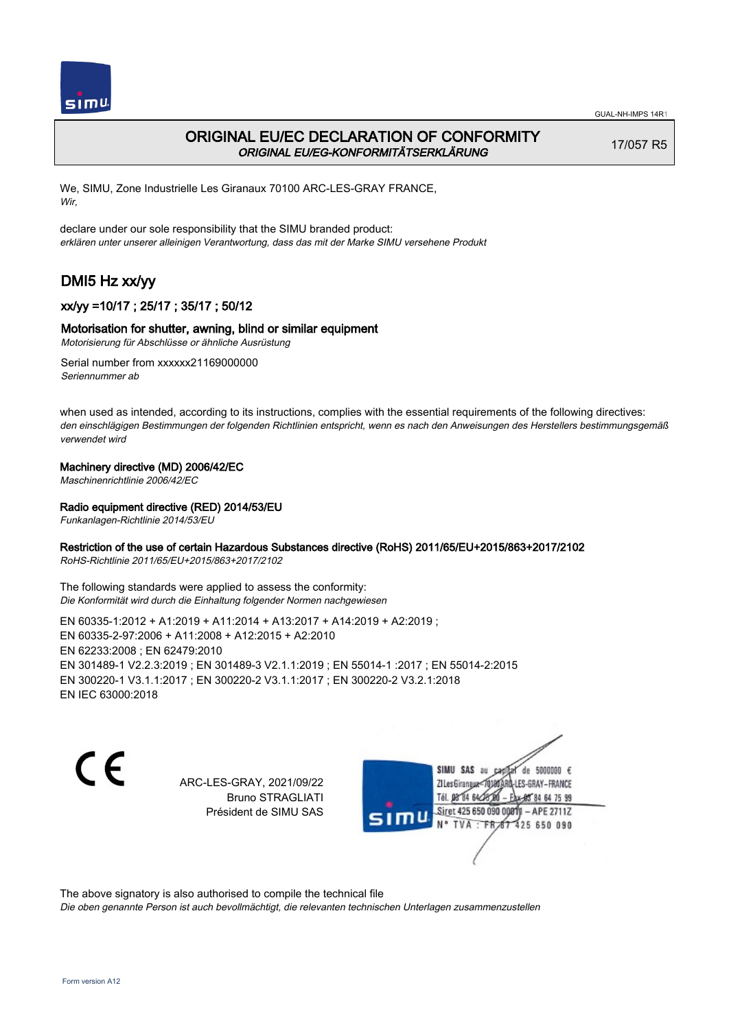

# ORIGINAL EU/EC DECLARATION OF CONFORMITY ORIGINAL EU/EG-KONFORMITÄTSERKLÄRUNG

17/057 R5

We, SIMU, Zone Industrielle Les Giranaux 70100 ARC-LES-GRAY FRANCE, Wir,

declare under our sole responsibility that the SIMU branded product: erklären unter unserer alleinigen Verantwortung, dass das mit der Marke SIMU versehene Produkt

# DMI5 Hz xx/yy

## xx/yy =10/17 ; 25/17 ; 35/17 ; 50/12

### Motorisation for shutter, awning, blind or similar equipment

Motorisierung für Abschlüsse or ähnliche Ausrüstung

Serial number from xxxxxx21169000000 Seriennummer ab

when used as intended, according to its instructions, complies with the essential requirements of the following directives: den einschlägigen Bestimmungen der folgenden Richtlinien entspricht, wenn es nach den Anweisungen des Herstellers bestimmungsgemäß verwendet wird

### Machinery directive (MD) 2006/42/EC

Maschinenrichtlinie 2006/42/EC

### Radio equipment directive (RED) 2014/53/EU

Funkanlagen-Richtlinie 2014/53/EU

### Restriction of the use of certain Hazardous Substances directive (RoHS) 2011/65/EU+2015/863+2017/2102

RoHS-Richtlinie 2011/65/EU+2015/863+2017/2102

The following standards were applied to assess the conformity: Die Konformität wird durch die Einhaltung folgender Normen nachgewiesen

EN 60335‑1:2012 + A1:2019 + A11:2014 + A13:2017 + A14:2019 + A2:2019 ; EN 60335‑2‑97:2006 + A11:2008 + A12:2015 + A2:2010 EN 62233:2008 ; EN 62479:2010 EN 301489‑1 V2.2.3:2019 ; EN 301489‑3 V2.1.1:2019 ; EN 55014‑1 :2017 ; EN 55014‑2:2015 EN 300220‑1 V3.1.1:2017 ; EN 300220‑2 V3.1.1:2017 ; EN 300220‑2 V3.2.1:2018 EN IEC 63000:2018

C E

ARC-LES-GRAY, 2021/09/22 Bruno STRAGLIATI Président de SIMU SAS

SIMU SAS au de 5000000  $\epsilon$ ZI Les Giranaux-70180 LES-GRAY-FRANCE Tél. 08 84 64 24 64 75 99 Siret 425 650 090 0081) - APE 2711Z 425 650 090 **TVA:FR** 

The above signatory is also authorised to compile the technical file

Die oben genannte Person ist auch bevollmächtigt, die relevanten technischen Unterlagen zusammenzustellen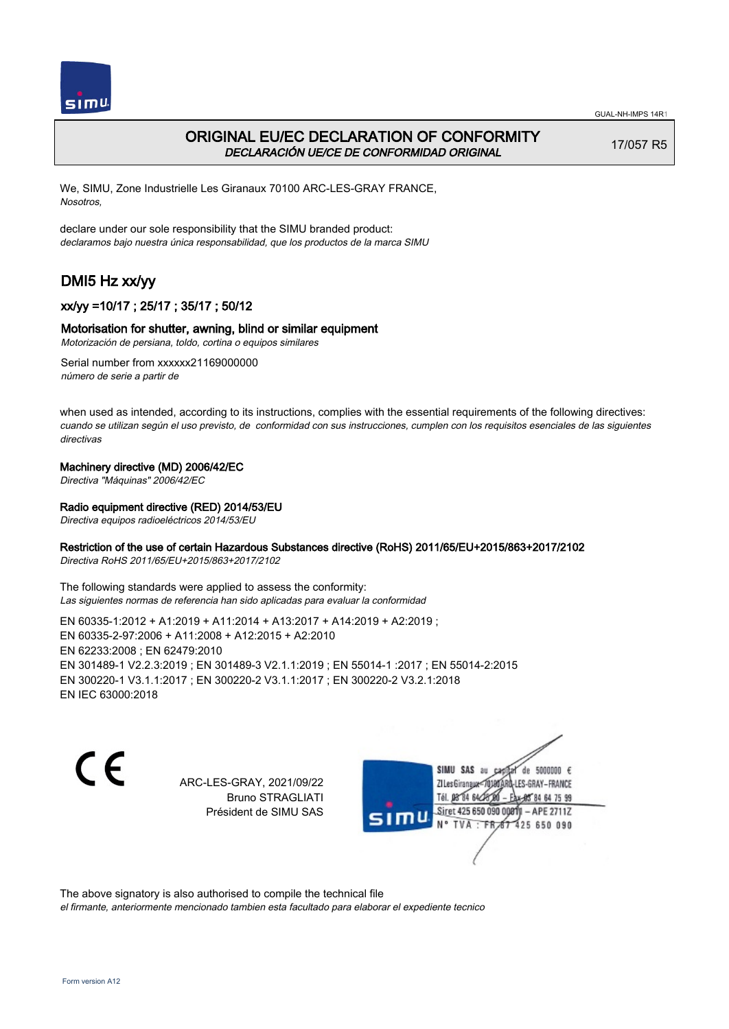



# ORIGINAL EU/EC DECLARATION OF CONFORMITY DECLARACIÓN UE/CE DE CONFORMIDAD ORIGINAL

17/057 R5

We, SIMU, Zone Industrielle Les Giranaux 70100 ARC-LES-GRAY FRANCE, Nosotros,

declare under our sole responsibility that the SIMU branded product: declaramos bajo nuestra única responsabilidad, que los productos de la marca SIMU

# DMI5 Hz xx/yy

## xx/yy =10/17 ; 25/17 ; 35/17 ; 50/12

### Motorisation for shutter, awning, blind or similar equipment

Motorización de persiana, toldo, cortina o equipos similares

Serial number from xxxxxx21169000000 número de serie a partir de

when used as intended, according to its instructions, complies with the essential requirements of the following directives: cuando se utilizan según el uso previsto, de conformidad con sus instrucciones, cumplen con los requisitos esenciales de las siguientes directivas

### Machinery directive (MD) 2006/42/EC

Directiva "Máquinas" 2006/42/EC

### Radio equipment directive (RED) 2014/53/EU

Directiva equipos radioeléctricos 2014/53/EU

### Restriction of the use of certain Hazardous Substances directive (RoHS) 2011/65/EU+2015/863+2017/2102

Directiva RoHS 2011/65/EU+2015/863+2017/2102

The following standards were applied to assess the conformity: Las siguientes normas de referencia han sido aplicadas para evaluar la conformidad

EN 60335‑1:2012 + A1:2019 + A11:2014 + A13:2017 + A14:2019 + A2:2019 ; EN 60335‑2‑97:2006 + A11:2008 + A12:2015 + A2:2010 EN 62233:2008 ; EN 62479:2010 EN 301489‑1 V2.2.3:2019 ; EN 301489‑3 V2.1.1:2019 ; EN 55014‑1 :2017 ; EN 55014‑2:2015 EN 300220‑1 V3.1.1:2017 ; EN 300220‑2 V3.1.1:2017 ; EN 300220‑2 V3.2.1:2018 EN IEC 63000:2018

C E

ARC-LES-GRAY, 2021/09/22 Bruno STRAGLIATI Président de SIMU SAS

SIMU SAS au de 5000000  $\epsilon$ ZI Les Girangux 10180 LES-GRAY-FRANCE Tél. 08 84 64 24 64 75 99 Siret 425 650 090 008TV - APE 2711Z 425 650 090 TVA: FR

The above signatory is also authorised to compile the technical file

el firmante, anteriormente mencionado tambien esta facultado para elaborar el expediente tecnico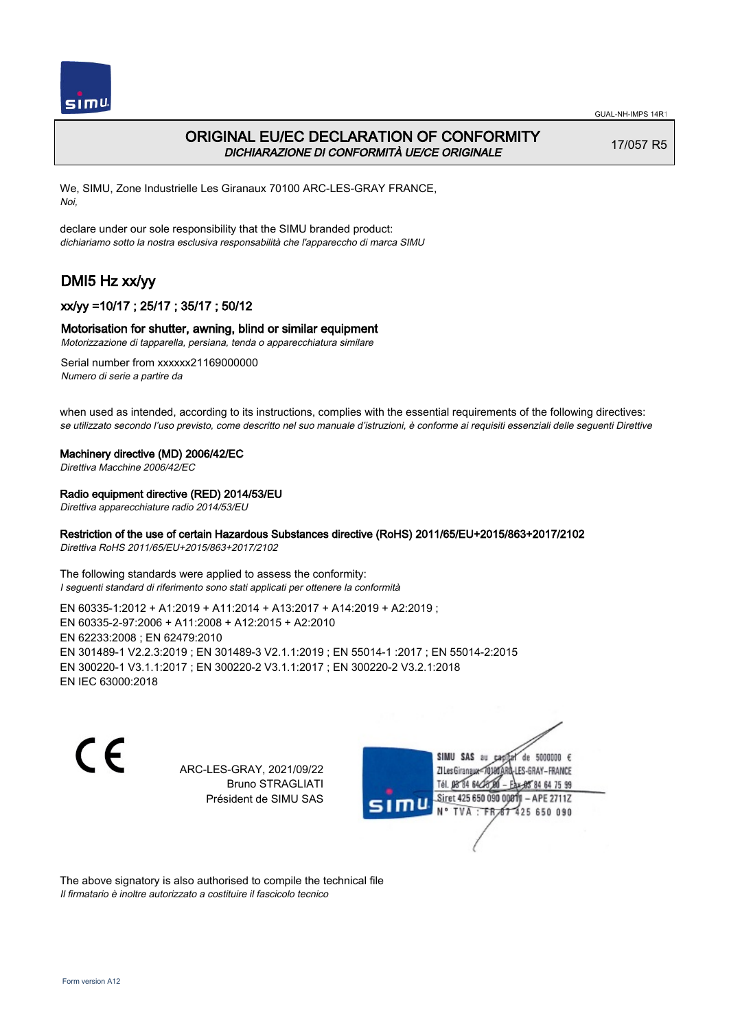

## ORIGINAL EU/EC DECLARATION OF CONFORMITY DICHIARAZIONE DI CONFORMITÀ UE/CE ORIGINALE

17/057 R5

We, SIMU, Zone Industrielle Les Giranaux 70100 ARC-LES-GRAY FRANCE, Noi,

declare under our sole responsibility that the SIMU branded product: dichiariamo sotto la nostra esclusiva responsabilità che l'appareccho di marca SIMU

# DMI5 Hz xx/yy

## xx/yy =10/17 ; 25/17 ; 35/17 ; 50/12

### Motorisation for shutter, awning, blind or similar equipment

Motorizzazione di tapparella, persiana, tenda o apparecchiatura similare

Serial number from xxxxxx21169000000 Numero di serie a partire da

when used as intended, according to its instructions, complies with the essential requirements of the following directives: se utilizzato secondo l'uso previsto, come descritto nel suo manuale d'istruzioni, è conforme ai requisiti essenziali delle seguenti Direttive

#### Machinery directive (MD) 2006/42/EC

Direttiva Macchine 2006/42/EC

### Radio equipment directive (RED) 2014/53/EU

Direttiva apparecchiature radio 2014/53/EU

### Restriction of the use of certain Hazardous Substances directive (RoHS) 2011/65/EU+2015/863+2017/2102

Direttiva RoHS 2011/65/EU+2015/863+2017/2102

The following standards were applied to assess the conformity: I seguenti standard di riferimento sono stati applicati per ottenere la conformità

EN 60335‑1:2012 + A1:2019 + A11:2014 + A13:2017 + A14:2019 + A2:2019 ; EN 60335‑2‑97:2006 + A11:2008 + A12:2015 + A2:2010 EN 62233:2008 ; EN 62479:2010 EN 301489‑1 V2.2.3:2019 ; EN 301489‑3 V2.1.1:2019 ; EN 55014‑1 :2017 ; EN 55014‑2:2015 EN 300220‑1 V3.1.1:2017 ; EN 300220‑2 V3.1.1:2017 ; EN 300220‑2 V3.2.1:2018 EN IEC 63000:2018

 $\epsilon$ 

ARC-LES-GRAY, 2021/09/22 Bruno STRAGLIATI Président de SIMU SAS



The above signatory is also authorised to compile the technical file Il firmatario è inoltre autorizzato a costituire il fascicolo tecnico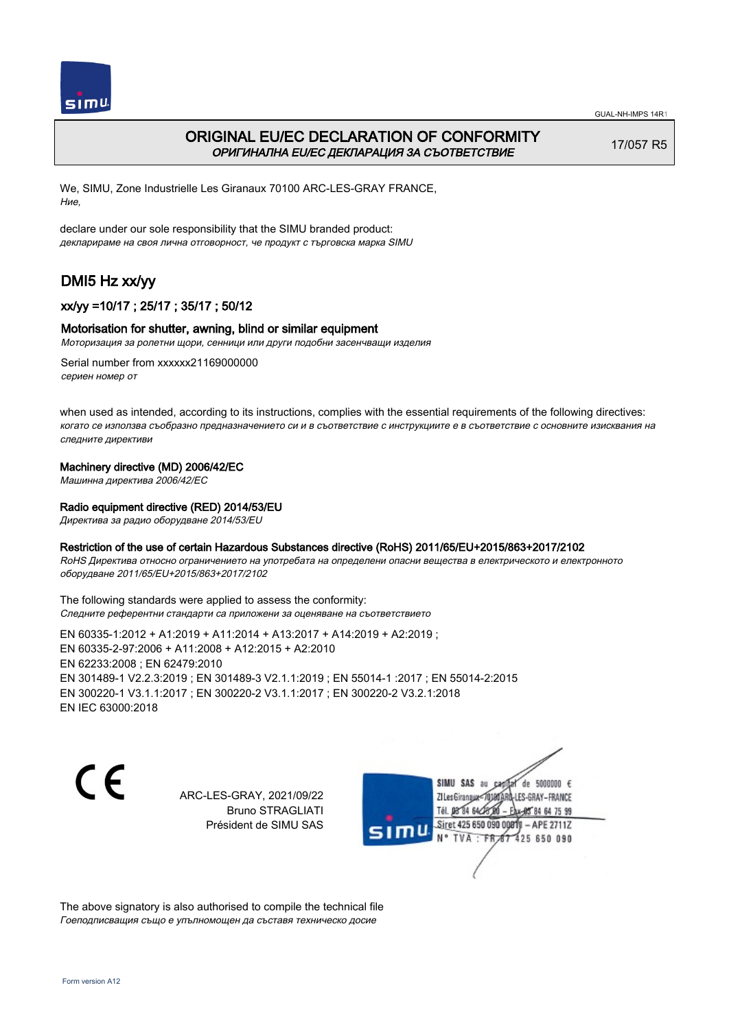

# ORIGINAL EU/EC DECLARATION OF CONFORMITY ОРИГИНАЛНА EU/EC ДЕКЛАРАЦИЯ ЗА СЪОТВЕТСТВИЕ

17/057 R5

We, SIMU, Zone Industrielle Les Giranaux 70100 ARC-LES-GRAY FRANCE, Ние,

declare under our sole responsibility that the SIMU branded product: декларираме на своя лична отговорност, че продукт с търговска марка SIMU

# DMI5 Hz xx/yy

## xx/yy =10/17 ; 25/17 ; 35/17 ; 50/12

### Motorisation for shutter, awning, blind or similar equipment

Моторизация за ролетни щори, сенници или други подобни засенчващи изделия

Serial number from xxxxxx21169000000 сериен номер от

when used as intended, according to its instructions, complies with the essential requirements of the following directives: когато се използва съобразно предназначението си и в съответствие с инструкциите е в съответствие с основните изисквания на следните директиви

### Machinery directive (MD) 2006/42/EC

Машинна директива 2006/42/EC

### Radio equipment directive (RED) 2014/53/EU

Директива за радио оборудване 2014/53/EU

### Restriction of the use of certain Hazardous Substances directive (RoHS) 2011/65/EU+2015/863+2017/2102

RoHS Директива относно ограничението на употребата на определени опасни вещества в електрическото и електронното оборудване 2011/65/EU+2015/863+2017/2102

The following standards were applied to assess the conformity: Следните референтни стандарти са приложени за оценяване на съответствието

EN 60335‑1:2012 + A1:2019 + A11:2014 + A13:2017 + A14:2019 + A2:2019 ; EN 60335‑2‑97:2006 + A11:2008 + A12:2015 + A2:2010 EN 62233:2008 ; EN 62479:2010 EN 301489‑1 V2.2.3:2019 ; EN 301489‑3 V2.1.1:2019 ; EN 55014‑1 :2017 ; EN 55014‑2:2015 EN 300220‑1 V3.1.1:2017 ; EN 300220‑2 V3.1.1:2017 ; EN 300220‑2 V3.2.1:2018 EN IEC 63000:2018

C E

ARC-LES-GRAY, 2021/09/22 Bruno STRAGLIATI Président de SIMU SAS



The above signatory is also authorised to compile the technical file Гоеподписващия също е упълномощен да съставя техническо досие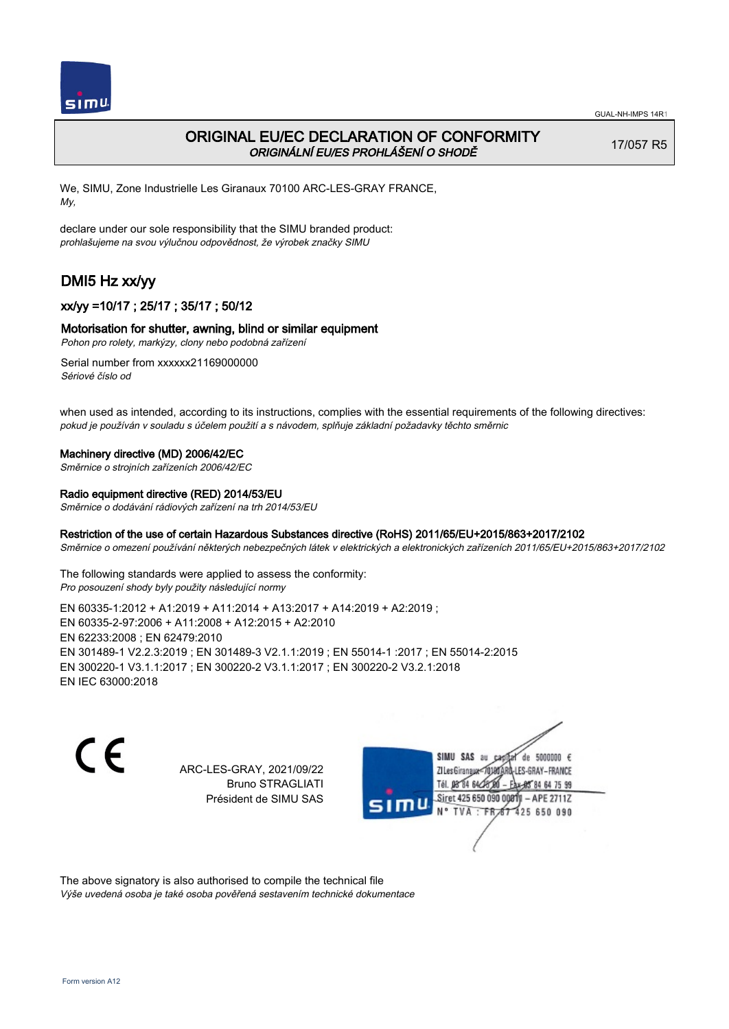

## ORIGINAL EU/EC DECLARATION OF CONFORMITY ORIGINÁLNÍ EU/ES PROHLÁŠENÍ O SHODĚ

17/057 R5

We, SIMU, Zone Industrielle Les Giranaux 70100 ARC-LES-GRAY FRANCE, My,

declare under our sole responsibility that the SIMU branded product: prohlašujeme na svou výlučnou odpovědnost, že výrobek značky SIMU

# DMI5 Hz xx/yy

## xx/yy =10/17 ; 25/17 ; 35/17 ; 50/12

### Motorisation for shutter, awning, blind or similar equipment

Pohon pro rolety, markýzy, clony nebo podobná zařízení

Serial number from xxxxxx21169000000 Sériové číslo od

when used as intended, according to its instructions, complies with the essential requirements of the following directives: pokud je používán v souladu s účelem použití a s návodem, splňuje základní požadavky těchto směrnic

#### Machinery directive (MD) 2006/42/EC

Směrnice o strojních zařízeních 2006/42/EC

#### Radio equipment directive (RED) 2014/53/EU

Směrnice o dodávání rádiových zařízení na trh 2014/53/EU

#### Restriction of the use of certain Hazardous Substances directive (RoHS) 2011/65/EU+2015/863+2017/2102

Směrnice o omezení používání některých nebezpečných látek v elektrických a elektronických zařízeních 2011/65/EU+2015/863+2017/2102

The following standards were applied to assess the conformity: Pro posouzení shody byly použity následující normy

EN 60335‑1:2012 + A1:2019 + A11:2014 + A13:2017 + A14:2019 + A2:2019 ; EN 60335‑2‑97:2006 + A11:2008 + A12:2015 + A2:2010 EN 62233:2008 ; EN 62479:2010 EN 301489‑1 V2.2.3:2019 ; EN 301489‑3 V2.1.1:2019 ; EN 55014‑1 :2017 ; EN 55014‑2:2015 EN 300220‑1 V3.1.1:2017 ; EN 300220‑2 V3.1.1:2017 ; EN 300220‑2 V3.2.1:2018 EN IEC 63000:2018

 $\epsilon$ 

ARC-LES-GRAY, 2021/09/22 Bruno STRAGLIATI Président de SIMU SAS



The above signatory is also authorised to compile the technical file Výše uvedená osoba je také osoba pověřená sestavením technické dokumentace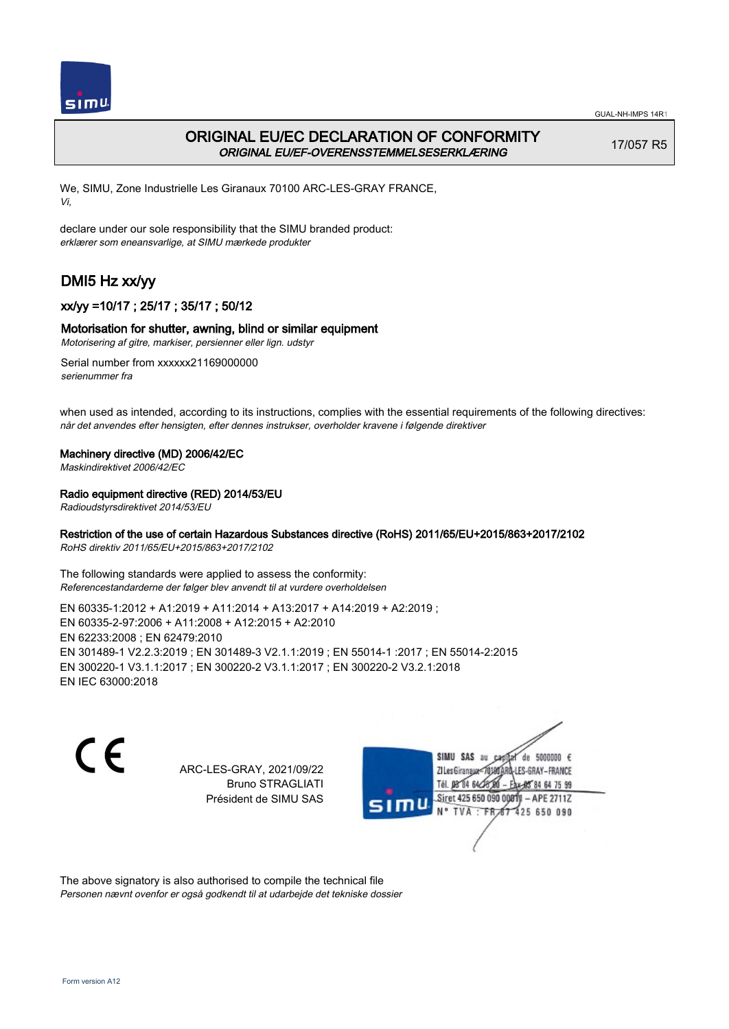

# ORIGINAL EU/EC DECLARATION OF CONFORMITY ORIGINAL EU/EF-OVERENSSTEMMELSESERKLÆRING

17/057 R5

We, SIMU, Zone Industrielle Les Giranaux 70100 ARC-LES-GRAY FRANCE, Vi,

declare under our sole responsibility that the SIMU branded product: erklærer som eneansvarlige, at SIMU mærkede produkter

# DMI5 Hz xx/yy

## xx/yy =10/17 ; 25/17 ; 35/17 ; 50/12

### Motorisation for shutter, awning, blind or similar equipment

Motorisering af gitre, markiser, persienner eller lign. udstyr

Serial number from xxxxxx21169000000 serienummer fra

when used as intended, according to its instructions, complies with the essential requirements of the following directives: når det anvendes efter hensigten, efter dennes instrukser, overholder kravene i følgende direktiver

### Machinery directive (MD) 2006/42/EC

Maskindirektivet 2006/42/EC

### Radio equipment directive (RED) 2014/53/EU

Radioudstyrsdirektivet 2014/53/EU

### Restriction of the use of certain Hazardous Substances directive (RoHS) 2011/65/EU+2015/863+2017/2102

RoHS direktiv 2011/65/EU+2015/863+2017/2102

The following standards were applied to assess the conformity: Referencestandarderne der følger blev anvendt til at vurdere overholdelsen

EN 60335‑1:2012 + A1:2019 + A11:2014 + A13:2017 + A14:2019 + A2:2019 ; EN 60335‑2‑97:2006 + A11:2008 + A12:2015 + A2:2010 EN 62233:2008 ; EN 62479:2010 EN 301489‑1 V2.2.3:2019 ; EN 301489‑3 V2.1.1:2019 ; EN 55014‑1 :2017 ; EN 55014‑2:2015 EN 300220‑1 V3.1.1:2017 ; EN 300220‑2 V3.1.1:2017 ; EN 300220‑2 V3.2.1:2018 EN IEC 63000:2018

 $\epsilon$ 

ARC-LES-GRAY, 2021/09/22 Bruno STRAGLIATI Président de SIMU SAS



The above signatory is also authorised to compile the technical file Personen nævnt ovenfor er også godkendt til at udarbejde det tekniske dossier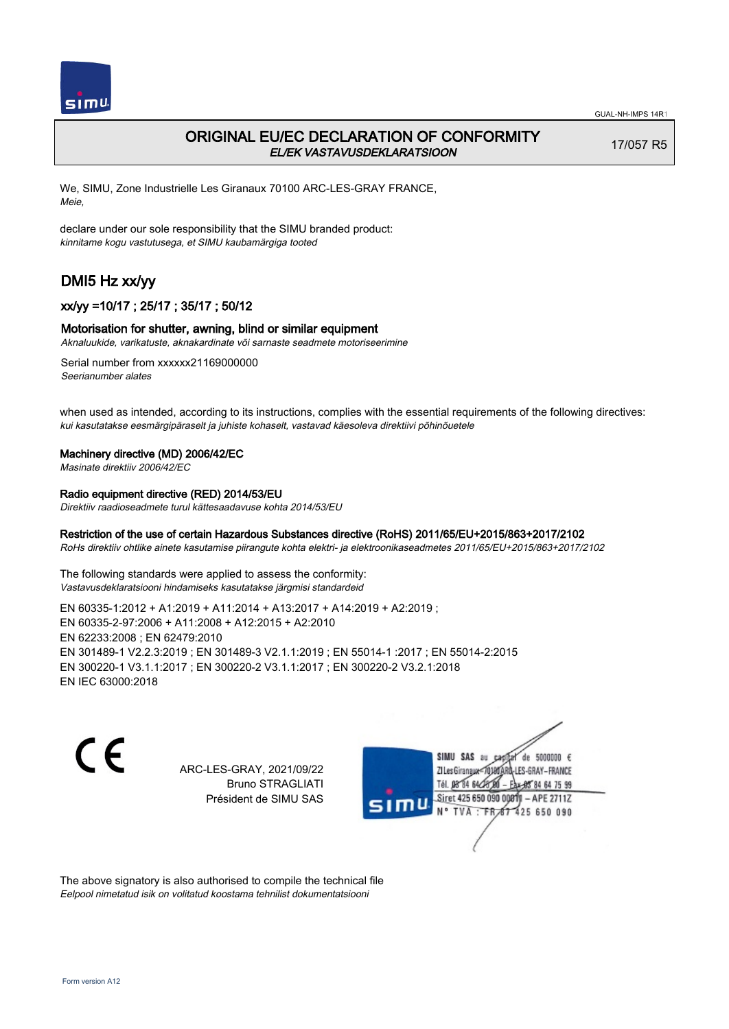

## ORIGINAL EU/EC DECLARATION OF CONFORMITY EL/EK VASTAVUSDEKLARATSIOON

17/057 R5

We, SIMU, Zone Industrielle Les Giranaux 70100 ARC-LES-GRAY FRANCE, Meie,

declare under our sole responsibility that the SIMU branded product: kinnitame kogu vastutusega, et SIMU kaubamärgiga tooted

# DMI5 Hz xx/yy

## xx/yy =10/17 ; 25/17 ; 35/17 ; 50/12

### Motorisation for shutter, awning, blind or similar equipment

Aknaluukide, varikatuste, aknakardinate või sarnaste seadmete motoriseerimine

Serial number from xxxxxx21169000000 Seerianumber alates

when used as intended, according to its instructions, complies with the essential requirements of the following directives: kui kasutatakse eesmärgipäraselt ja juhiste kohaselt, vastavad käesoleva direktiivi põhinõuetele

#### Machinery directive (MD) 2006/42/EC

Masinate direktiiv 2006/42/EC

## Radio equipment directive (RED) 2014/53/EU

Direktiiv raadioseadmete turul kättesaadavuse kohta 2014/53/EU

### Restriction of the use of certain Hazardous Substances directive (RoHS) 2011/65/EU+2015/863+2017/2102

RoHs direktiiv ohtlike ainete kasutamise piirangute kohta elektri- ja elektroonikaseadmetes 2011/65/EU+2015/863+2017/2102

The following standards were applied to assess the conformity: Vastavusdeklaratsiooni hindamiseks kasutatakse järgmisi standardeid

EN 60335‑1:2012 + A1:2019 + A11:2014 + A13:2017 + A14:2019 + A2:2019 ; EN 60335‑2‑97:2006 + A11:2008 + A12:2015 + A2:2010 EN 62233:2008 ; EN 62479:2010 EN 301489‑1 V2.2.3:2019 ; EN 301489‑3 V2.1.1:2019 ; EN 55014‑1 :2017 ; EN 55014‑2:2015 EN 300220‑1 V3.1.1:2017 ; EN 300220‑2 V3.1.1:2017 ; EN 300220‑2 V3.2.1:2018 EN IEC 63000:2018

 $\epsilon$ 

ARC-LES-GRAY, 2021/09/22 Bruno STRAGLIATI Président de SIMU SAS



The above signatory is also authorised to compile the technical file Eelpool nimetatud isik on volitatud koostama tehnilist dokumentatsiooni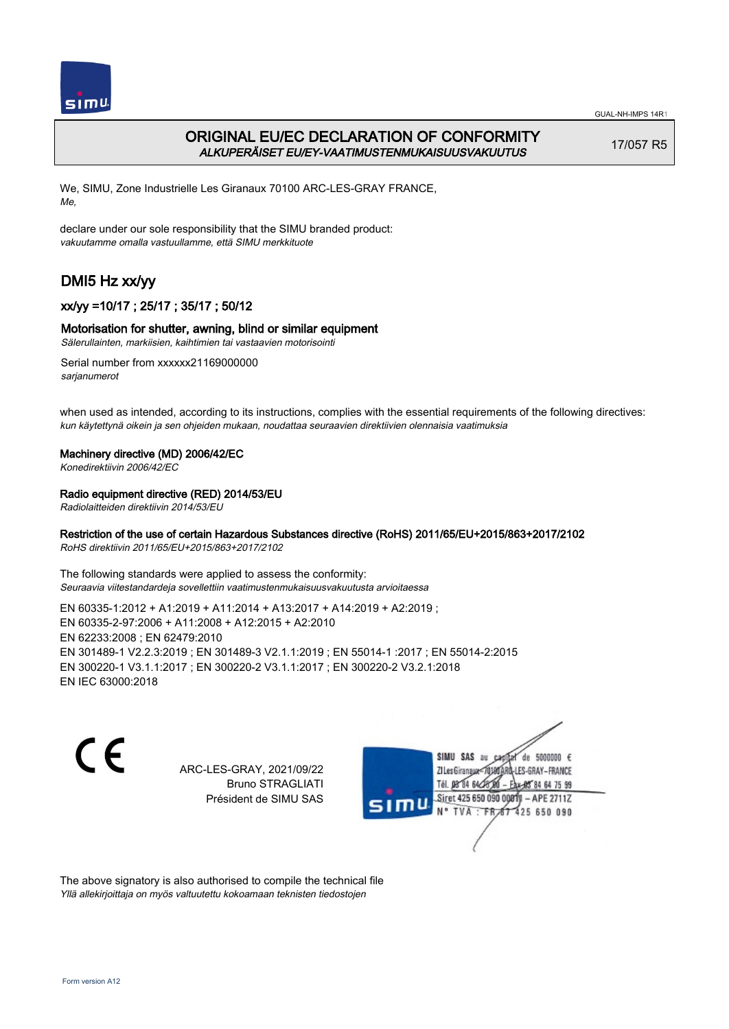

# ORIGINAL EU/EC DECLARATION OF CONFORMITY ALKUPERÄISET EU/EY-VAATIMUSTENMUKAISUUSVAKUUTUS

17/057 R5

We, SIMU, Zone Industrielle Les Giranaux 70100 ARC-LES-GRAY FRANCE, Me,

declare under our sole responsibility that the SIMU branded product: vakuutamme omalla vastuullamme, että SIMU merkkituote

# DMI5 Hz xx/yy

## xx/yy =10/17 ; 25/17 ; 35/17 ; 50/12

### Motorisation for shutter, awning, blind or similar equipment

Sälerullainten, markiisien, kaihtimien tai vastaavien motorisointi

Serial number from xxxxxx21169000000 sarjanumerot

when used as intended, according to its instructions, complies with the essential requirements of the following directives: kun käytettynä oikein ja sen ohjeiden mukaan, noudattaa seuraavien direktiivien olennaisia vaatimuksia

### Machinery directive (MD) 2006/42/EC

Konedirektiivin 2006/42/EC

### Radio equipment directive (RED) 2014/53/EU

Radiolaitteiden direktiivin 2014/53/EU

### Restriction of the use of certain Hazardous Substances directive (RoHS) 2011/65/EU+2015/863+2017/2102

RoHS direktiivin 2011/65/EU+2015/863+2017/2102

The following standards were applied to assess the conformity: Seuraavia viitestandardeja sovellettiin vaatimustenmukaisuusvakuutusta arvioitaessa

EN 60335‑1:2012 + A1:2019 + A11:2014 + A13:2017 + A14:2019 + A2:2019 ; EN 60335‑2‑97:2006 + A11:2008 + A12:2015 + A2:2010 EN 62233:2008 ; EN 62479:2010 EN 301489‑1 V2.2.3:2019 ; EN 301489‑3 V2.1.1:2019 ; EN 55014‑1 :2017 ; EN 55014‑2:2015 EN 300220‑1 V3.1.1:2017 ; EN 300220‑2 V3.1.1:2017 ; EN 300220‑2 V3.2.1:2018 EN IEC 63000:2018

 $\epsilon$ 

ARC-LES-GRAY, 2021/09/22 Bruno STRAGLIATI Président de SIMU SAS



The above signatory is also authorised to compile the technical file Yllä allekirjoittaja on myös valtuutettu kokoamaan teknisten tiedostojen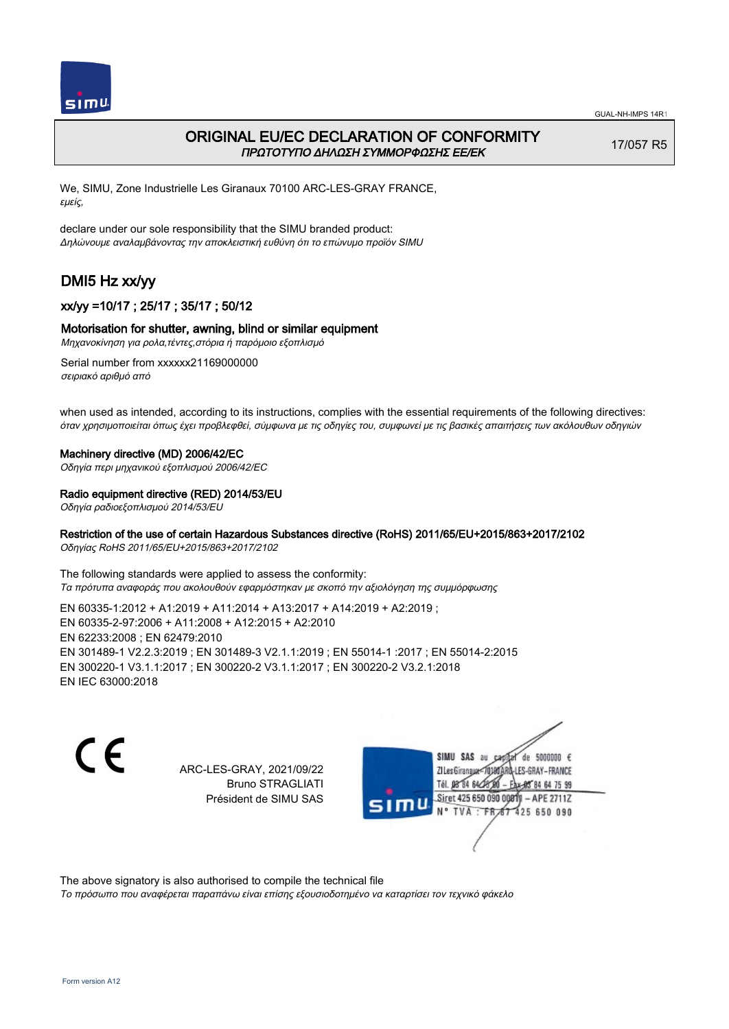

## ORIGINAL EU/EC DECLARATION OF CONFORMITY ΠΡΩΤΟΤΥΠΟ ΔΗΛΩΣΗ ΣΥΜΜΟΡΦΩΣΗΣ ΕΕ/EK

17/057 R5

We, SIMU, Zone Industrielle Les Giranaux 70100 ARC-LES-GRAY FRANCE, εμείς,

declare under our sole responsibility that the SIMU branded product: Δηλώνουμε αναλαμβάνοντας την αποκλειστική ευθύνη ότι το επώνυμο προϊόν SIMU

# DMI5 Hz xx/yy

## xx/yy =10/17 ; 25/17 ; 35/17 ; 50/12

### Motorisation for shutter, awning, blind or similar equipment

Μηχανοκίνηση για ρολα,τέντες,στόρια ή παρόμοιο εξοπλισμό

Serial number from xxxxxx21169000000 σειριακό αριθμό από

when used as intended, according to its instructions, complies with the essential requirements of the following directives: όταν χρησιμοποιείται όπως έχει προβλεφθεί, σύμφωνα με τις οδηγίες του, συμφωνεί με τις βασικές απαιτήσεις των ακόλουθων οδηγιών

### Machinery directive (MD) 2006/42/EC

Οδηγία περι μηχανικού εξοπλισμού 2006/42/EC

### Radio equipment directive (RED) 2014/53/EU

Οδηγία ραδιοεξοπλισμού 2014/53/EU

### Restriction of the use of certain Hazardous Substances directive (RoHS) 2011/65/EU+2015/863+2017/2102

Οδηγίας RoHS 2011/65/EU+2015/863+2017/2102

The following standards were applied to assess the conformity: Τα πρότυπα αναφοράς που ακολουθούν εφαρμόστηκαν με σκοπό την αξιολόγηση της συμμόρφωσης

EN 60335‑1:2012 + A1:2019 + A11:2014 + A13:2017 + A14:2019 + A2:2019 ; EN 60335‑2‑97:2006 + A11:2008 + A12:2015 + A2:2010 EN 62233:2008 ; EN 62479:2010 EN 301489‑1 V2.2.3:2019 ; EN 301489‑3 V2.1.1:2019 ; EN 55014‑1 :2017 ; EN 55014‑2:2015 EN 300220‑1 V3.1.1:2017 ; EN 300220‑2 V3.1.1:2017 ; EN 300220‑2 V3.2.1:2018 EN IEC 63000:2018

C F

ARC-LES-GRAY, 2021/09/22 Bruno STRAGLIATI Président de SIMU SAS



The above signatory is also authorised to compile the technical file

Το πρόσωπο που αναφέρεται παραπάνω είναι επίσης εξουσιοδοτημένο να καταρτίσει τον τεχνικό φάκελο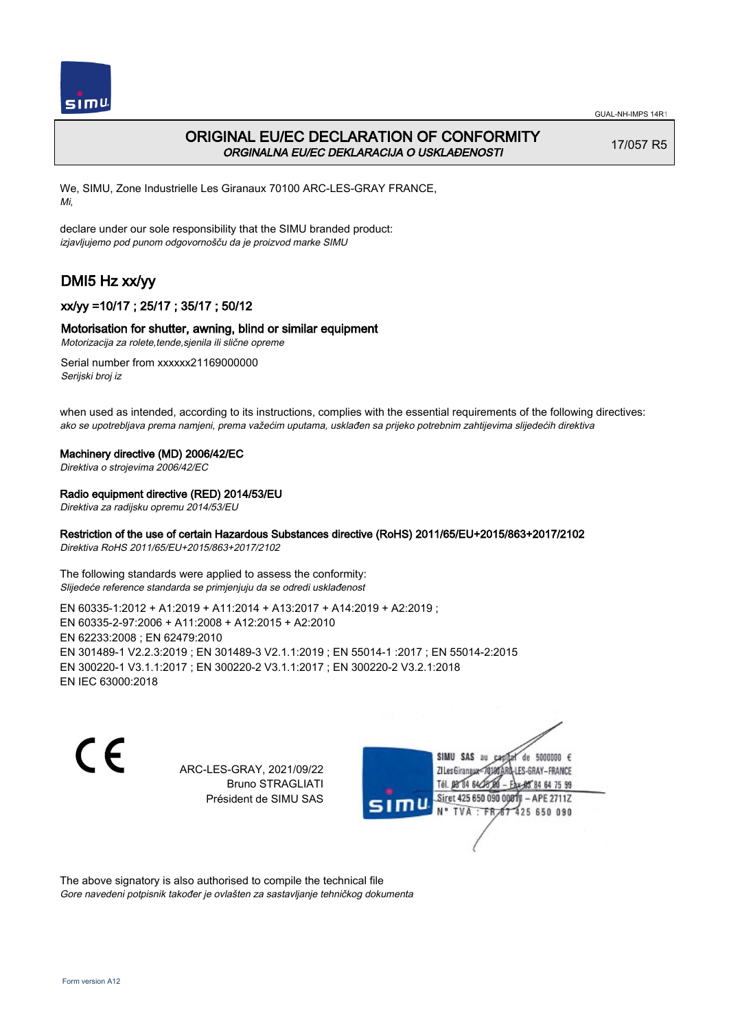

## ORIGINAL EU/EC DECLARATION OF CONFORMITY ORGINALNA EU/EC DEKLARACIJA O USKLAĐENOSTI

17/057 R5

We, SIMU, Zone Industrielle Les Giranaux 70100 ARC-LES-GRAY FRANCE, Mi,

declare under our sole responsibility that the SIMU branded product: izjavljujemo pod punom odgovornošču da je proizvod marke SIMU

# DMI5 Hz xx/yy

## xx/yy =10/17 ; 25/17 ; 35/17 ; 50/12

### Motorisation for shutter, awning, blind or similar equipment

Motorizacija za rolete,tende,sjenila ili slične opreme

Serial number from xxxxxx21169000000 Serijski broj iz

when used as intended, according to its instructions, complies with the essential requirements of the following directives: ako se upotrebljava prema namjeni, prema važećim uputama, usklađen sa prijeko potrebnim zahtijevima slijedećih direktiva

#### Machinery directive (MD) 2006/42/EC

Direktiva o strojevima 2006/42/EC

### Radio equipment directive (RED) 2014/53/EU

Direktiva za radijsku opremu 2014/53/EU

### Restriction of the use of certain Hazardous Substances directive (RoHS) 2011/65/EU+2015/863+2017/2102

Direktiva RoHS 2011/65/EU+2015/863+2017/2102

The following standards were applied to assess the conformity: Slijedeće reference standarda se primjenjuju da se odredi usklađenost

EN 60335‑1:2012 + A1:2019 + A11:2014 + A13:2017 + A14:2019 + A2:2019 ; EN 60335‑2‑97:2006 + A11:2008 + A12:2015 + A2:2010 EN 62233:2008 ; EN 62479:2010 EN 301489‑1 V2.2.3:2019 ; EN 301489‑3 V2.1.1:2019 ; EN 55014‑1 :2017 ; EN 55014‑2:2015 EN 300220‑1 V3.1.1:2017 ; EN 300220‑2 V3.1.1:2017 ; EN 300220‑2 V3.2.1:2018 EN IEC 63000:2018

 $\epsilon$ 

ARC-LES-GRAY, 2021/09/22 Bruno STRAGLIATI Président de SIMU SAS



The above signatory is also authorised to compile the technical file Gore navedeni potpisnik također je ovlašten za sastavljanje tehničkog dokumenta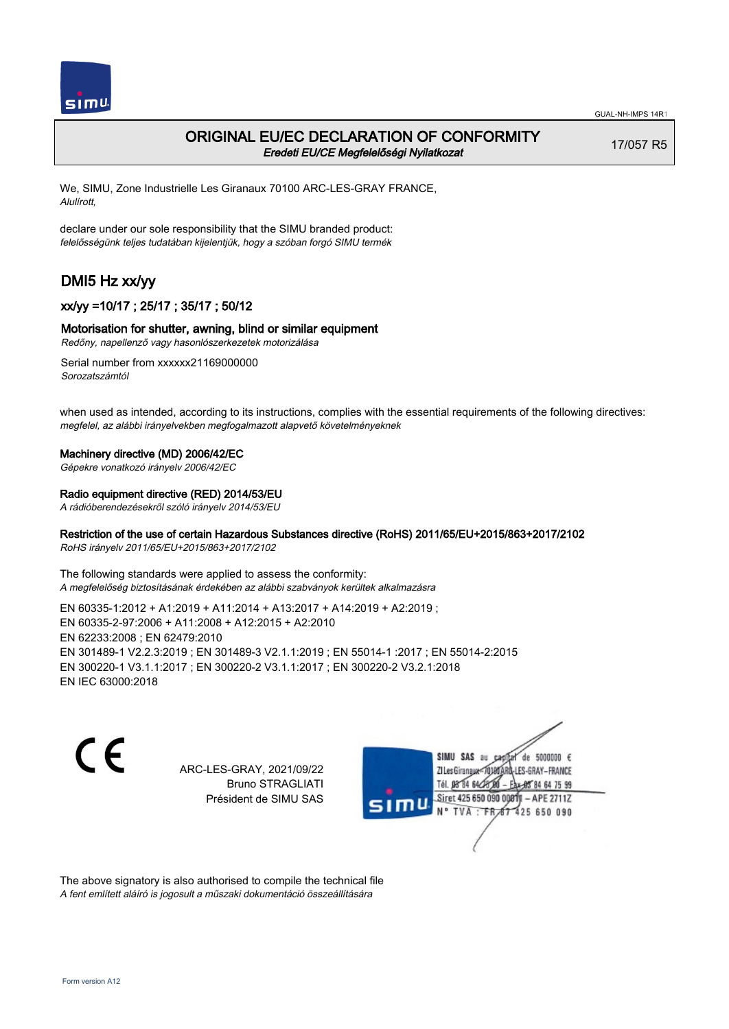

## ORIGINAL EU/EC DECLARATION OF CONFORMITY Eredeti EU/CE Megfelelőségi Nyilatkozat

17/057 R5

We, SIMU, Zone Industrielle Les Giranaux 70100 ARC-LES-GRAY FRANCE, Alulírott,

declare under our sole responsibility that the SIMU branded product: felelősségünk teljes tudatában kijelentjük, hogy a szóban forgó SIMU termék

# DMI5 Hz xx/yy

## xx/yy =10/17 ; 25/17 ; 35/17 ; 50/12

### Motorisation for shutter, awning, blind or similar equipment

Redőny, napellenző vagy hasonlószerkezetek motorizálása

Serial number from xxxxxx21169000000 Sorozatszámtól

when used as intended, according to its instructions, complies with the essential requirements of the following directives: megfelel, az alábbi irányelvekben megfogalmazott alapvető követelményeknek

#### Machinery directive (MD) 2006/42/EC

Gépekre vonatkozó irányelv 2006/42/EC

#### Radio equipment directive (RED) 2014/53/EU

A rádióberendezésekről szóló irányelv 2014/53/EU

### Restriction of the use of certain Hazardous Substances directive (RoHS) 2011/65/EU+2015/863+2017/2102

RoHS irányelv 2011/65/EU+2015/863+2017/2102

The following standards were applied to assess the conformity: A megfelelőség biztosításának érdekében az alábbi szabványok kerültek alkalmazásra

EN 60335‑1:2012 + A1:2019 + A11:2014 + A13:2017 + A14:2019 + A2:2019 ; EN 60335‑2‑97:2006 + A11:2008 + A12:2015 + A2:2010 EN 62233:2008 ; EN 62479:2010 EN 301489‑1 V2.2.3:2019 ; EN 301489‑3 V2.1.1:2019 ; EN 55014‑1 :2017 ; EN 55014‑2:2015 EN 300220‑1 V3.1.1:2017 ; EN 300220‑2 V3.1.1:2017 ; EN 300220‑2 V3.2.1:2018 EN IEC 63000:2018

C F

ARC-LES-GRAY, 2021/09/22 Bruno STRAGLIATI Président de SIMU SAS



The above signatory is also authorised to compile the technical file A fent említett aláíró is jogosult a műszaki dokumentáció összeállítására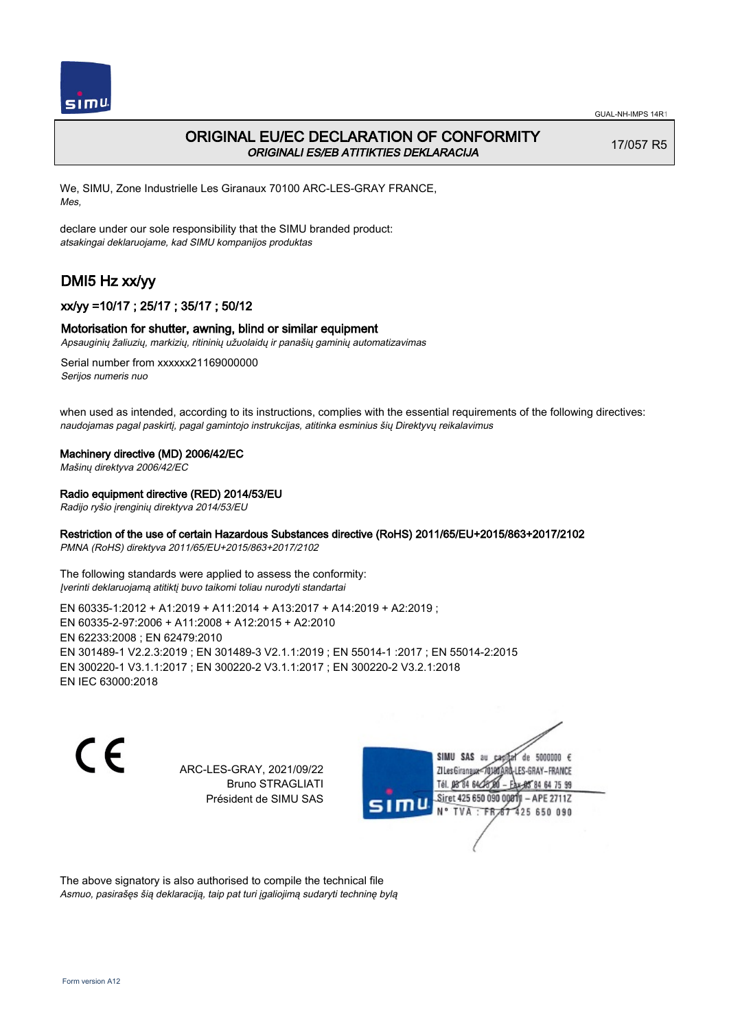

## ORIGINAL EU/EC DECLARATION OF CONFORMITY ORIGINALI ES/EB ATITIKTIES DEKLARACIJA

17/057 R5

We, SIMU, Zone Industrielle Les Giranaux 70100 ARC-LES-GRAY FRANCE, Mes,

declare under our sole responsibility that the SIMU branded product: atsakingai deklaruojame, kad SIMU kompanijos produktas

# DMI5 Hz xx/yy

## xx/yy =10/17 ; 25/17 ; 35/17 ; 50/12

### Motorisation for shutter, awning, blind or similar equipment

Apsauginių žaliuzių, markizių, ritininių užuolaidų ir panašių gaminių automatizavimas

Serial number from xxxxxx21169000000 Serijos numeris nuo

when used as intended, according to its instructions, complies with the essential requirements of the following directives: naudojamas pagal paskirtį, pagal gamintojo instrukcijas, atitinka esminius šių Direktyvų reikalavimus

### Machinery directive (MD) 2006/42/EC

Mašinų direktyva 2006/42/EC

### Radio equipment directive (RED) 2014/53/EU

Radijo ryšio įrenginių direktyva 2014/53/EU

### Restriction of the use of certain Hazardous Substances directive (RoHS) 2011/65/EU+2015/863+2017/2102

PMNA (RoHS) direktyva 2011/65/EU+2015/863+2017/2102

The following standards were applied to assess the conformity: Įverinti deklaruojamą atitiktį buvo taikomi toliau nurodyti standartai

EN 60335‑1:2012 + A1:2019 + A11:2014 + A13:2017 + A14:2019 + A2:2019 ; EN 60335‑2‑97:2006 + A11:2008 + A12:2015 + A2:2010 EN 62233:2008 ; EN 62479:2010 EN 301489‑1 V2.2.3:2019 ; EN 301489‑3 V2.1.1:2019 ; EN 55014‑1 :2017 ; EN 55014‑2:2015 EN 300220‑1 V3.1.1:2017 ; EN 300220‑2 V3.1.1:2017 ; EN 300220‑2 V3.2.1:2018 EN IEC 63000:2018

C F

ARC-LES-GRAY, 2021/09/22 Bruno STRAGLIATI Président de SIMU SAS



The above signatory is also authorised to compile the technical file Asmuo, pasirašęs šią deklaraciją, taip pat turi įgaliojimą sudaryti techninę bylą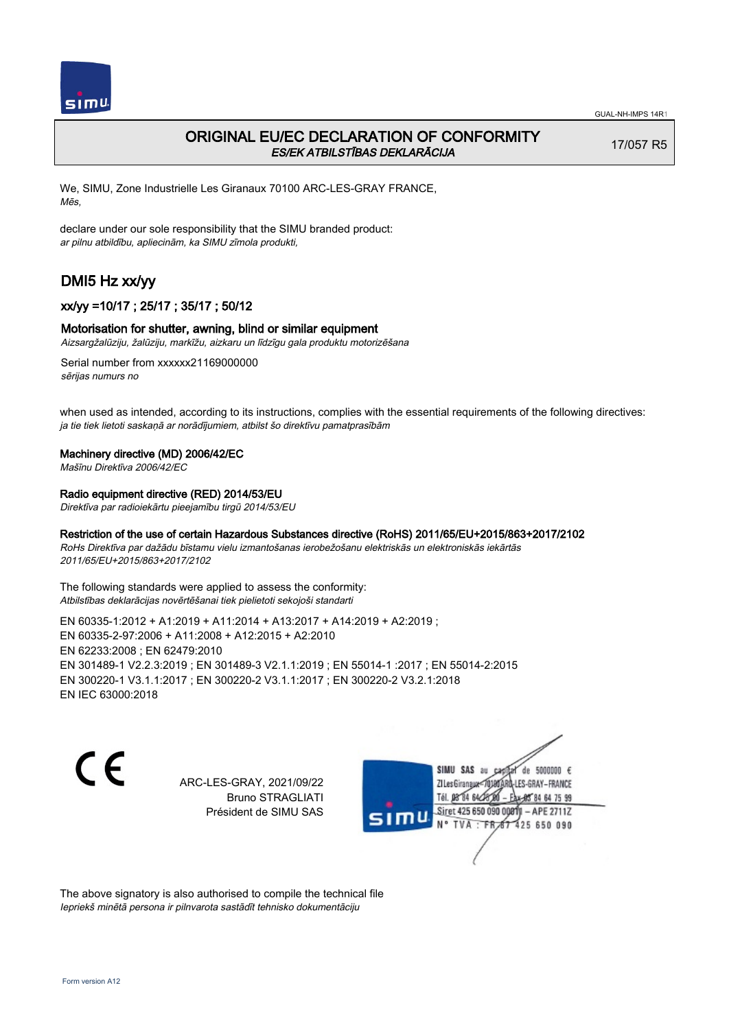

## ORIGINAL EU/EC DECLARATION OF CONFORMITY ES/EK ATBILSTĪBAS DEKLARĀCIJA

17/057 R5

We, SIMU, Zone Industrielle Les Giranaux 70100 ARC-LES-GRAY FRANCE, Mēs,

declare under our sole responsibility that the SIMU branded product: ar pilnu atbildību, apliecinām, ka SIMU zīmola produkti,

# DMI5 Hz xx/yy

### xx/yy =10/17 ; 25/17 ; 35/17 ; 50/12

### Motorisation for shutter, awning, blind or similar equipment

Aizsargžalūziju, žalūziju, markīžu, aizkaru un līdzīgu gala produktu motorizēšana

Serial number from xxxxxx21169000000 sērijas numurs no

when used as intended, according to its instructions, complies with the essential requirements of the following directives: ja tie tiek lietoti saskaņā ar norādījumiem, atbilst šo direktīvu pamatprasībām

#### Machinery directive (MD) 2006/42/EC

Mašīnu Direktīva 2006/42/EC

### Radio equipment directive (RED) 2014/53/EU

Direktīva par radioiekārtu pieejamību tirgū 2014/53/EU

### Restriction of the use of certain Hazardous Substances directive (RoHS) 2011/65/EU+2015/863+2017/2102

RoHs Direktīva par dažādu bīstamu vielu izmantošanas ierobežošanu elektriskās un elektroniskās iekārtās 2011/65/EU+2015/863+2017/2102

The following standards were applied to assess the conformity: Atbilstības deklarācijas novērtēšanai tiek pielietoti sekojoši standarti

EN 60335‑1:2012 + A1:2019 + A11:2014 + A13:2017 + A14:2019 + A2:2019 ; EN 60335‑2‑97:2006 + A11:2008 + A12:2015 + A2:2010 EN 62233:2008 ; EN 62479:2010 EN 301489‑1 V2.2.3:2019 ; EN 301489‑3 V2.1.1:2019 ; EN 55014‑1 :2017 ; EN 55014‑2:2015 EN 300220‑1 V3.1.1:2017 ; EN 300220‑2 V3.1.1:2017 ; EN 300220‑2 V3.2.1:2018 EN IEC 63000:2018

C E

ARC-LES-GRAY, 2021/09/22 Bruno STRAGLIATI Président de SIMU SAS

SIMU SAS au de 5000000  $\epsilon$ ZI Les Giranaux</r0180 LES-GRAY-FRANCE Tél. 08 84 64 28 64 75 99 Siret 425 650 090 0081) - APE 2711Z  $TVA : FRAT$ 425 650 090

The above signatory is also authorised to compile the technical file Iepriekš minētā persona ir pilnvarota sastādīt tehnisko dokumentāciju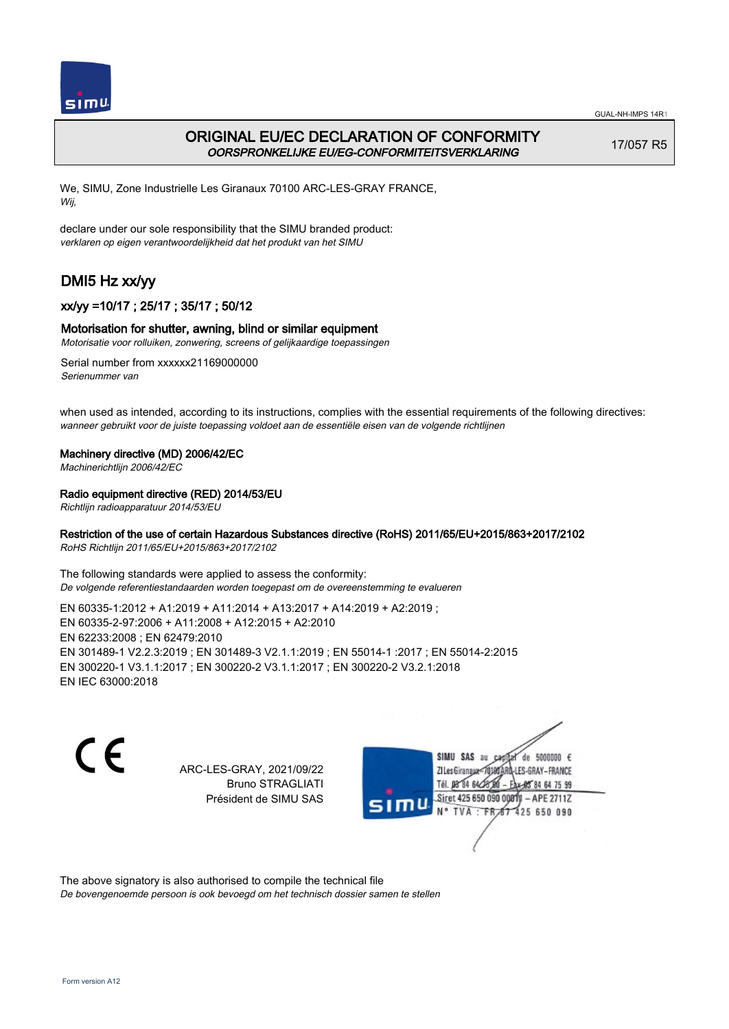

# ORIGINAL EU/EC DECLARATION OF CONFORMITY OORSPRONKELIJKE EU/EG-CONFORMITEITSVERKLARING

17/057 R5

We, SIMU, Zone Industrielle Les Giranaux 70100 ARC-LES-GRAY FRANCE, Wij,

declare under our sole responsibility that the SIMU branded product: verklaren op eigen verantwoordelijkheid dat het produkt van het SIMU

# DMI5 Hz xx/yy

## xx/yy =10/17 ; 25/17 ; 35/17 ; 50/12

### Motorisation for shutter, awning, blind or similar equipment

Motorisatie voor rolluiken, zonwering, screens of gelijkaardige toepassingen

Serial number from xxxxxx21169000000 Serienummer van

when used as intended, according to its instructions, complies with the essential requirements of the following directives: wanneer gebruikt voor de juiste toepassing voldoet aan de essentiële eisen van de volgende richtlijnen

### Machinery directive (MD) 2006/42/EC

Machinerichtlijn 2006/42/EC

### Radio equipment directive (RED) 2014/53/EU

Richtlijn radioapparatuur 2014/53/EU

### Restriction of the use of certain Hazardous Substances directive (RoHS) 2011/65/EU+2015/863+2017/2102

RoHS Richtlijn 2011/65/EU+2015/863+2017/2102

The following standards were applied to assess the conformity: De volgende referentiestandaarden worden toegepast om de overeenstemming te evalueren

EN 60335‑1:2012 + A1:2019 + A11:2014 + A13:2017 + A14:2019 + A2:2019 ; EN 60335‑2‑97:2006 + A11:2008 + A12:2015 + A2:2010 EN 62233:2008 ; EN 62479:2010 EN 301489‑1 V2.2.3:2019 ; EN 301489‑3 V2.1.1:2019 ; EN 55014‑1 :2017 ; EN 55014‑2:2015 EN 300220‑1 V3.1.1:2017 ; EN 300220‑2 V3.1.1:2017 ; EN 300220‑2 V3.2.1:2018 EN IEC 63000:2018

 $\epsilon$ 

ARC-LES-GRAY, 2021/09/22 Bruno STRAGLIATI Président de SIMU SAS



The above signatory is also authorised to compile the technical file

De bovengenoemde persoon is ook bevoegd om het technisch dossier samen te stellen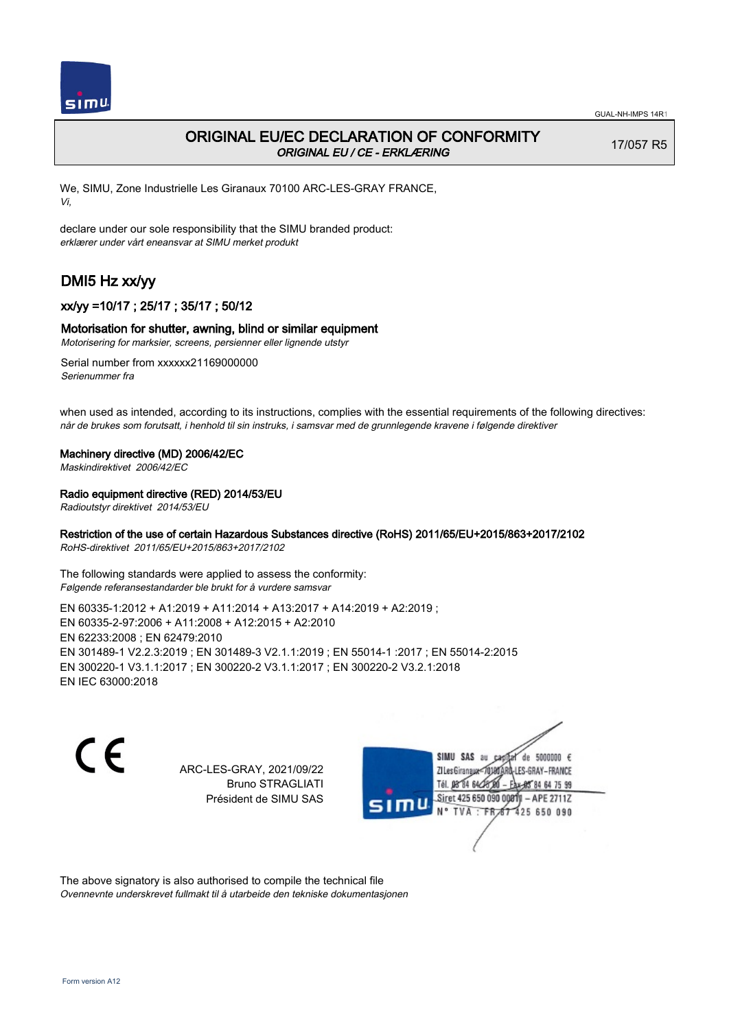

# ORIGINAL EU/EC DECLARATION OF CONFORMITY ORIGINAL EU / CE - ERKLÆRING

17/057 R5

We, SIMU, Zone Industrielle Les Giranaux 70100 ARC-LES-GRAY FRANCE, Vi,

declare under our sole responsibility that the SIMU branded product: erklærer under vårt eneansvar at SIMU merket produkt

# DMI5 Hz xx/yy

## xx/yy =10/17 ; 25/17 ; 35/17 ; 50/12

### Motorisation for shutter, awning, blind or similar equipment

Motorisering for marksier, screens, persienner eller lignende utstyr

Serial number from xxxxxx21169000000 Serienummer fra

when used as intended, according to its instructions, complies with the essential requirements of the following directives: når de brukes som forutsatt, i henhold til sin instruks, i samsvar med de grunnlegende kravene i følgende direktiver

### Machinery directive (MD) 2006/42/EC

Maskindirektivet 2006/42/EC

### Radio equipment directive (RED) 2014/53/EU

Radioutstyr direktivet 2014/53/EU

### Restriction of the use of certain Hazardous Substances directive (RoHS) 2011/65/EU+2015/863+2017/2102

RoHS-direktivet 2011/65/EU+2015/863+2017/2102

The following standards were applied to assess the conformity: Følgende referansestandarder ble brukt for å vurdere samsvar

EN 60335‑1:2012 + A1:2019 + A11:2014 + A13:2017 + A14:2019 + A2:2019 ; EN 60335‑2‑97:2006 + A11:2008 + A12:2015 + A2:2010 EN 62233:2008 ; EN 62479:2010 EN 301489‑1 V2.2.3:2019 ; EN 301489‑3 V2.1.1:2019 ; EN 55014‑1 :2017 ; EN 55014‑2:2015 EN 300220‑1 V3.1.1:2017 ; EN 300220‑2 V3.1.1:2017 ; EN 300220‑2 V3.2.1:2018 EN IEC 63000:2018

 $\epsilon$ 

ARC-LES-GRAY, 2021/09/22 Bruno STRAGLIATI Président de SIMU SAS



The above signatory is also authorised to compile the technical file Ovennevnte underskrevet fullmakt til å utarbeide den tekniske dokumentasjonen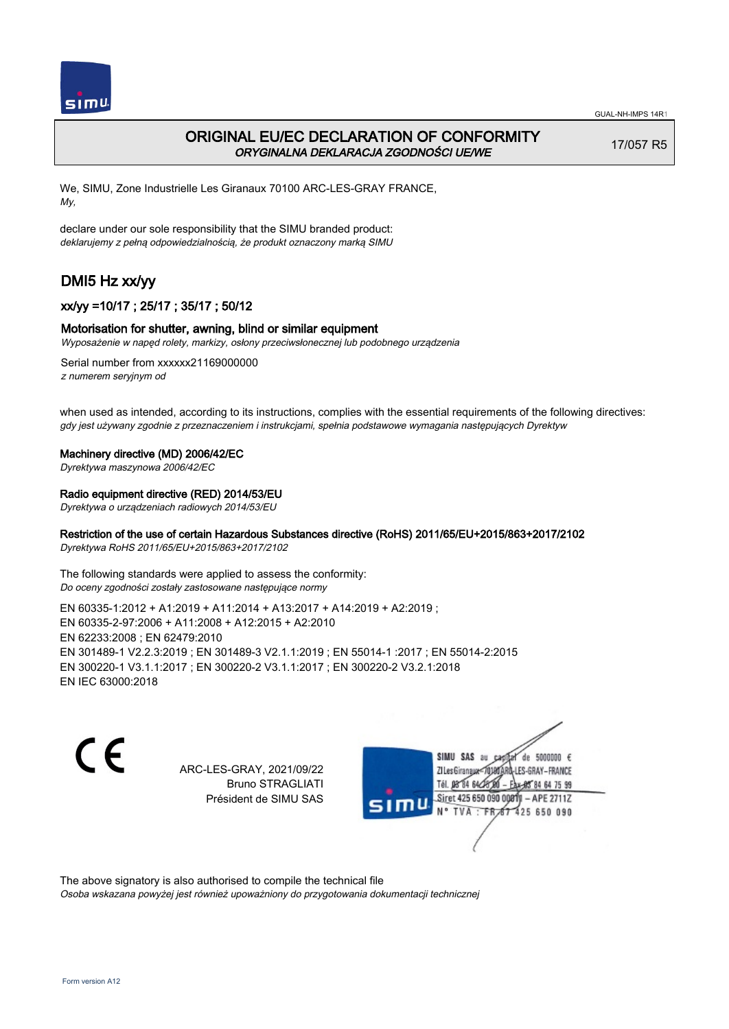

# ORIGINAL EU/EC DECLARATION OF CONFORMITY ORYGINALNA DEKLARACJA ZGODNOŚCI UE/WE

17/057 R5

We, SIMU, Zone Industrielle Les Giranaux 70100 ARC-LES-GRAY FRANCE, My,

declare under our sole responsibility that the SIMU branded product: deklarujemy z pełną odpowiedzialnością, że produkt oznaczony marką SIMU

# DMI5 Hz xx/yy

## xx/yy =10/17 ; 25/17 ; 35/17 ; 50/12

### Motorisation for shutter, awning, blind or similar equipment

Wyposażenie w napęd rolety, markizy, osłony przeciwsłonecznej lub podobnego urządzenia

Serial number from xxxxxx21169000000 z numerem seryjnym od

when used as intended, according to its instructions, complies with the essential requirements of the following directives: gdy jest używany zgodnie z przeznaczeniem i instrukcjami, spełnia podstawowe wymagania następujących Dyrektyw

### Machinery directive (MD) 2006/42/EC

Dyrektywa maszynowa 2006/42/EC

### Radio equipment directive (RED) 2014/53/EU

Dyrektywa o urządzeniach radiowych 2014/53/EU

### Restriction of the use of certain Hazardous Substances directive (RoHS) 2011/65/EU+2015/863+2017/2102

Dyrektywa RoHS 2011/65/EU+2015/863+2017/2102

The following standards were applied to assess the conformity: Do oceny zgodności zostały zastosowane następujące normy

EN 60335‑1:2012 + A1:2019 + A11:2014 + A13:2017 + A14:2019 + A2:2019 ; EN 60335‑2‑97:2006 + A11:2008 + A12:2015 + A2:2010 EN 62233:2008 ; EN 62479:2010 EN 301489‑1 V2.2.3:2019 ; EN 301489‑3 V2.1.1:2019 ; EN 55014‑1 :2017 ; EN 55014‑2:2015 EN 300220‑1 V3.1.1:2017 ; EN 300220‑2 V3.1.1:2017 ; EN 300220‑2 V3.2.1:2018 EN IEC 63000:2018

C F

ARC-LES-GRAY, 2021/09/22 Bruno STRAGLIATI Président de SIMU SAS



The above signatory is also authorised to compile the technical file

Osoba wskazana powyżej jest również upoważniony do przygotowania dokumentacji technicznej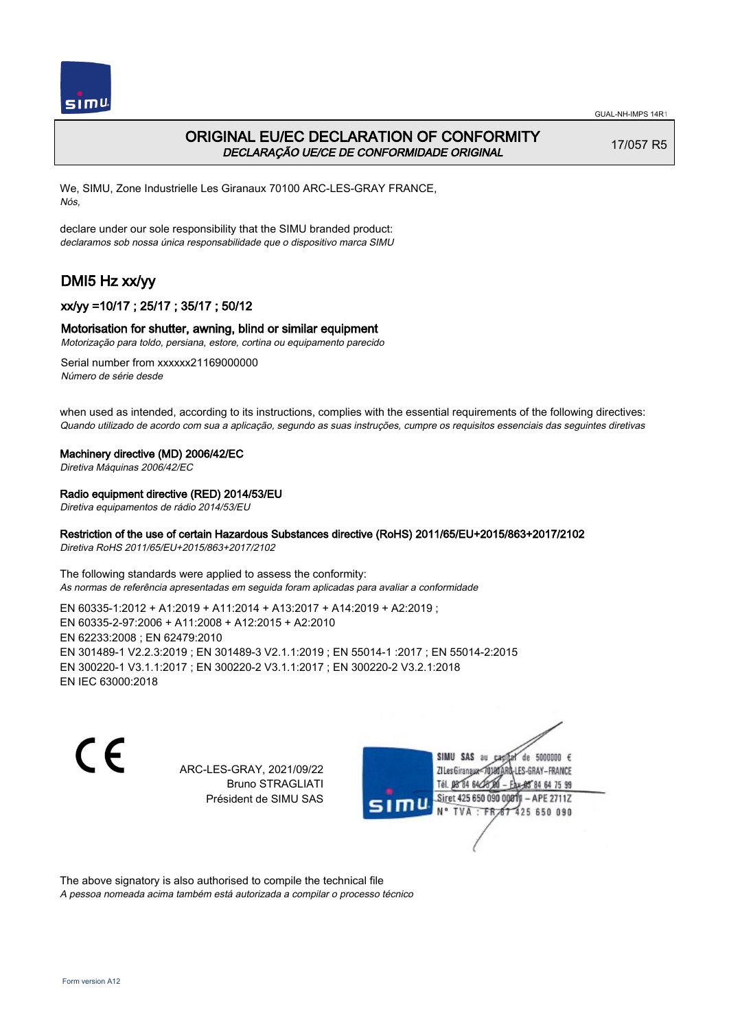

## ORIGINAL EU/EC DECLARATION OF CONFORMITY DECLARAÇÃO UE/CE DE CONFORMIDADE ORIGINAL

17/057 R5

We, SIMU, Zone Industrielle Les Giranaux 70100 ARC-LES-GRAY FRANCE, Nós,

declare under our sole responsibility that the SIMU branded product: declaramos sob nossa única responsabilidade que o dispositivo marca SIMU

# DMI5 Hz xx/yy

## xx/yy =10/17 ; 25/17 ; 35/17 ; 50/12

### Motorisation for shutter, awning, blind or similar equipment

Motorização para toldo, persiana, estore, cortina ou equipamento parecido

Serial number from xxxxxx21169000000 Número de série desde

when used as intended, according to its instructions, complies with the essential requirements of the following directives: Quando utilizado de acordo com sua a aplicação, segundo as suas instruções, cumpre os requisitos essenciais das seguintes diretivas

### Machinery directive (MD) 2006/42/EC

Diretiva Máquinas 2006/42/EC

### Radio equipment directive (RED) 2014/53/EU

Diretiva equipamentos de rádio 2014/53/EU

### Restriction of the use of certain Hazardous Substances directive (RoHS) 2011/65/EU+2015/863+2017/2102

Diretiva RoHS 2011/65/EU+2015/863+2017/2102

The following standards were applied to assess the conformity: As normas de referência apresentadas em seguida foram aplicadas para avaliar a conformidade

EN 60335‑1:2012 + A1:2019 + A11:2014 + A13:2017 + A14:2019 + A2:2019 ; EN 60335‑2‑97:2006 + A11:2008 + A12:2015 + A2:2010 EN 62233:2008 ; EN 62479:2010 EN 301489‑1 V2.2.3:2019 ; EN 301489‑3 V2.1.1:2019 ; EN 55014‑1 :2017 ; EN 55014‑2:2015 EN 300220‑1 V3.1.1:2017 ; EN 300220‑2 V3.1.1:2017 ; EN 300220‑2 V3.2.1:2018 EN IEC 63000:2018

 $\epsilon$ 

ARC-LES-GRAY, 2021/09/22 Bruno STRAGLIATI Président de SIMU SAS



The above signatory is also authorised to compile the technical file

A pessoa nomeada acima também está autorizada a compilar o processo técnico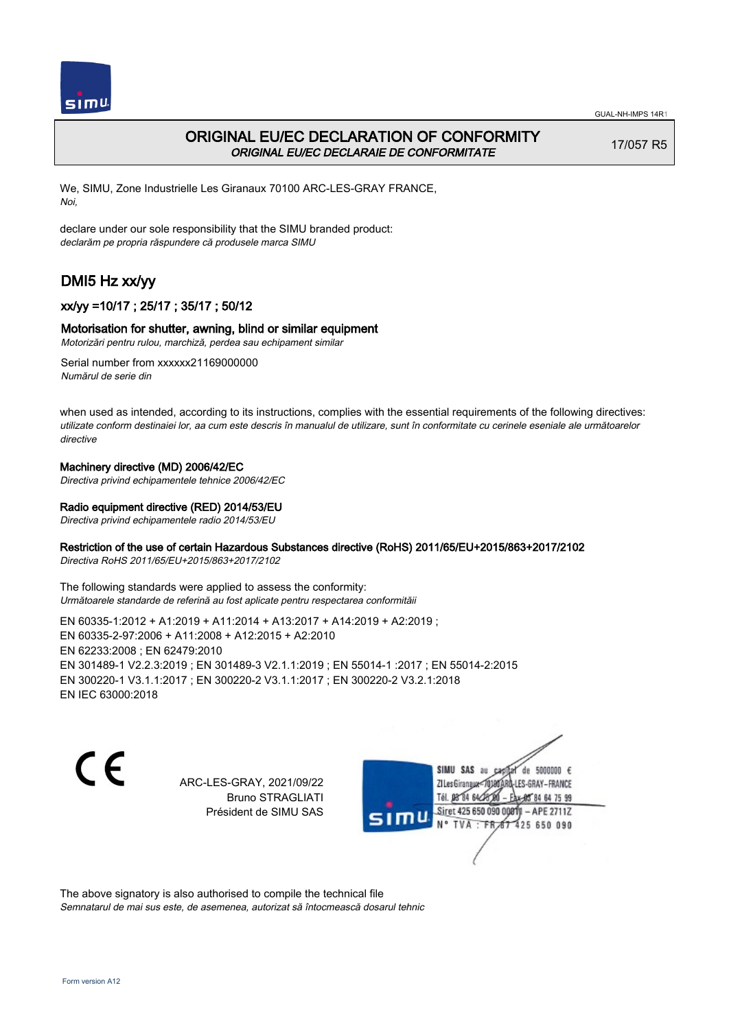

# ORIGINAL EU/EC DECLARATION OF CONFORMITY ORIGINAL EU/EC DECLARAIE DE CONFORMITATE

17/057 R5

We, SIMU, Zone Industrielle Les Giranaux 70100 ARC-LES-GRAY FRANCE, Noi,

declare under our sole responsibility that the SIMU branded product: declarăm pe propria răspundere că produsele marca SIMU

# DMI5 Hz xx/yy

## xx/yy =10/17 ; 25/17 ; 35/17 ; 50/12

### Motorisation for shutter, awning, blind or similar equipment

Motorizări pentru rulou, marchiză, perdea sau echipament similar

Serial number from xxxxxx21169000000 Numărul de serie din

when used as intended, according to its instructions, complies with the essential requirements of the following directives: utilizate conform destinaiei lor, aa cum este descris în manualul de utilizare, sunt în conformitate cu cerinele eseniale ale următoarelor directive

### Machinery directive (MD) 2006/42/EC

Directiva privind echipamentele tehnice 2006/42/EC

### Radio equipment directive (RED) 2014/53/EU

Directiva privind echipamentele radio 2014/53/EU

### Restriction of the use of certain Hazardous Substances directive (RoHS) 2011/65/EU+2015/863+2017/2102

Directiva RoHS 2011/65/EU+2015/863+2017/2102

The following standards were applied to assess the conformity: Următoarele standarde de referină au fost aplicate pentru respectarea conformităii

EN 60335‑1:2012 + A1:2019 + A11:2014 + A13:2017 + A14:2019 + A2:2019 ; EN 60335‑2‑97:2006 + A11:2008 + A12:2015 + A2:2010 EN 62233:2008 ; EN 62479:2010 EN 301489‑1 V2.2.3:2019 ; EN 301489‑3 V2.1.1:2019 ; EN 55014‑1 :2017 ; EN 55014‑2:2015 EN 300220‑1 V3.1.1:2017 ; EN 300220‑2 V3.1.1:2017 ; EN 300220‑2 V3.2.1:2018 EN IEC 63000:2018

C E

ARC-LES-GRAY, 2021/09/22 Bruno STRAGLIATI Président de SIMU SAS

de 5000000  $\epsilon$ SIMU SAS au ZI Les Giranaux-70180 LES-GRAY-FRANCE Tél. 08 84 64 24 64 75 99 Siret 425 650 090 0081) - APE 2711Z 425 650 090 TVA: FR

The above signatory is also authorised to compile the technical file Semnatarul de mai sus este, de asemenea, autorizat să întocmească dosarul tehnic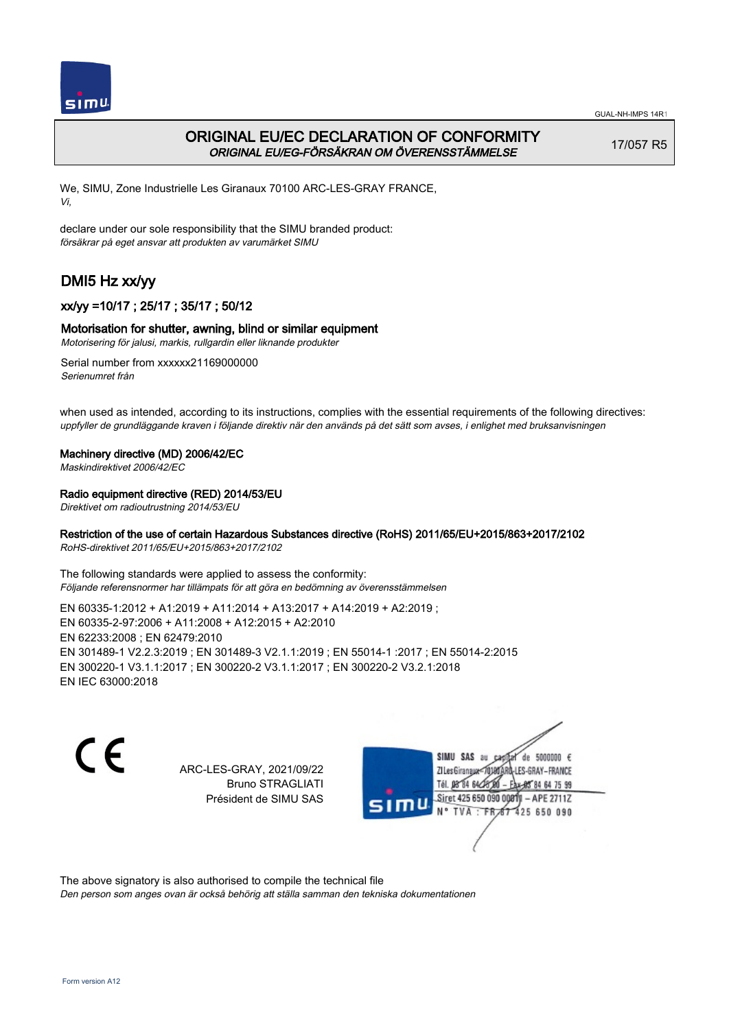

# ORIGINAL EU/EC DECLARATION OF CONFORMITY ORIGINAL EU/EG-FÖRSÄKRAN OM ÖVERENSSTÄMMELSE

17/057 R5

We, SIMU, Zone Industrielle Les Giranaux 70100 ARC-LES-GRAY FRANCE, Vi,

declare under our sole responsibility that the SIMU branded product: försäkrar på eget ansvar att produkten av varumärket SIMU

# DMI5 Hz xx/yy

## xx/yy =10/17 ; 25/17 ; 35/17 ; 50/12

### Motorisation for shutter, awning, blind or similar equipment

Motorisering för jalusi, markis, rullgardin eller liknande produkter

Serial number from xxxxxx21169000000 Serienumret från

when used as intended, according to its instructions, complies with the essential requirements of the following directives: uppfyller de grundläggande kraven i följande direktiv när den används på det sätt som avses, i enlighet med bruksanvisningen

### Machinery directive (MD) 2006/42/EC

Maskindirektivet 2006/42/EC

### Radio equipment directive (RED) 2014/53/EU

Direktivet om radioutrustning 2014/53/EU

### Restriction of the use of certain Hazardous Substances directive (RoHS) 2011/65/EU+2015/863+2017/2102

RoHS-direktivet 2011/65/EU+2015/863+2017/2102

The following standards were applied to assess the conformity: Följande referensnormer har tillämpats för att göra en bedömning av överensstämmelsen

EN 60335‑1:2012 + A1:2019 + A11:2014 + A13:2017 + A14:2019 + A2:2019 ; EN 60335‑2‑97:2006 + A11:2008 + A12:2015 + A2:2010 EN 62233:2008 ; EN 62479:2010 EN 301489‑1 V2.2.3:2019 ; EN 301489‑3 V2.1.1:2019 ; EN 55014‑1 :2017 ; EN 55014‑2:2015 EN 300220‑1 V3.1.1:2017 ; EN 300220‑2 V3.1.1:2017 ; EN 300220‑2 V3.2.1:2018 EN IEC 63000:2018

 $\epsilon$ 

ARC-LES-GRAY, 2021/09/22 Bruno STRAGLIATI Président de SIMU SAS



The above signatory is also authorised to compile the technical file

Den person som anges ovan är också behörig att ställa samman den tekniska dokumentationen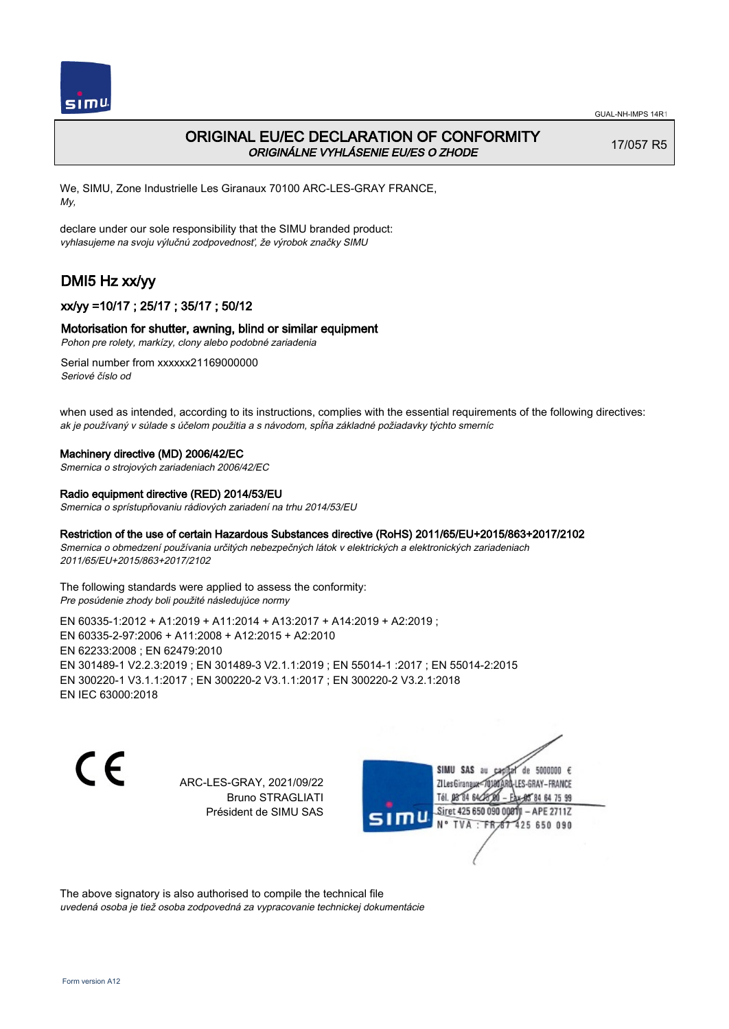

# ORIGINAL EU/EC DECLARATION OF CONFORMITY ORIGINÁLNE VYHLÁSENIE EU/ES O ZHODE

17/057 R5

We, SIMU, Zone Industrielle Les Giranaux 70100 ARC-LES-GRAY FRANCE, My,

declare under our sole responsibility that the SIMU branded product: vyhlasujeme na svoju výlučnú zodpovednosť, že výrobok značky SIMU

# DMI5 Hz xx/yy

## xx/yy =10/17 ; 25/17 ; 35/17 ; 50/12

### Motorisation for shutter, awning, blind or similar equipment

Pohon pre rolety, markízy, clony alebo podobné zariadenia

Serial number from xxxxxx21169000000 Seriové číslo od

when used as intended, according to its instructions, complies with the essential requirements of the following directives: ak je používaný v súlade s účelom použitia a s návodom, spĺňa základné požiadavky týchto smerníc

### Machinery directive (MD) 2006/42/EC

Smernica o strojových zariadeniach 2006/42/EC

### Radio equipment directive (RED) 2014/53/EU

Smernica o sprístupňovaniu rádiových zariadení na trhu 2014/53/EU

### Restriction of the use of certain Hazardous Substances directive (RoHS) 2011/65/EU+2015/863+2017/2102

Smernica o obmedzení používania určitých nebezpečných látok v elektrických a elektronických zariadeniach 2011/65/EU+2015/863+2017/2102

The following standards were applied to assess the conformity: Pre posúdenie zhody boli použité následujúce normy

EN 60335‑1:2012 + A1:2019 + A11:2014 + A13:2017 + A14:2019 + A2:2019 ; EN 60335‑2‑97:2006 + A11:2008 + A12:2015 + A2:2010 EN 62233:2008 ; EN 62479:2010 EN 301489‑1 V2.2.3:2019 ; EN 301489‑3 V2.1.1:2019 ; EN 55014‑1 :2017 ; EN 55014‑2:2015 EN 300220‑1 V3.1.1:2017 ; EN 300220‑2 V3.1.1:2017 ; EN 300220‑2 V3.2.1:2018 EN IEC 63000:2018

C E

ARC-LES-GRAY, 2021/09/22 Bruno STRAGLIATI Président de SIMU SAS

SIMU SAS au de 5000000  $\epsilon$ ZI Les Giranaux</r0180 LES-GRAY-FRANCE Tél. 08 84 64 24 64 75 99 Siret 425 650 090 008TV - APE 2711Z 425 650 090 TVA : FRAT

The above signatory is also authorised to compile the technical file uvedená osoba je tiež osoba zodpovedná za vypracovanie technickej dokumentácie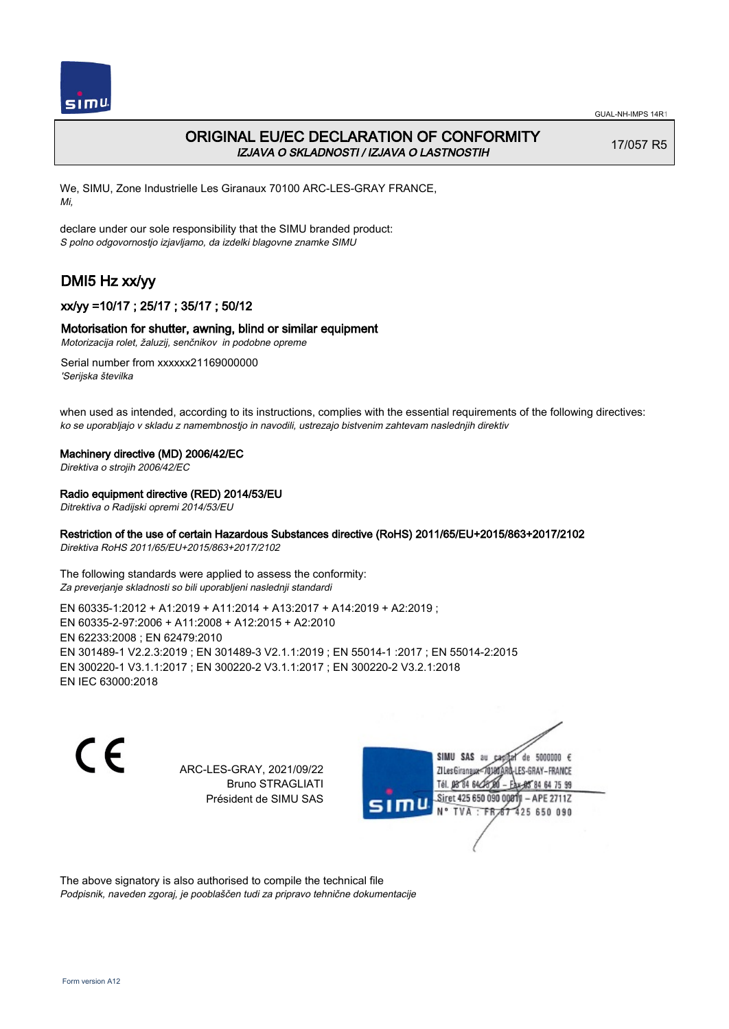

# ORIGINAL EU/EC DECLARATION OF CONFORMITY IZJAVA O SKLADNOSTI / IZJAVA O LASTNOSTIH

17/057 R5

We, SIMU, Zone Industrielle Les Giranaux 70100 ARC-LES-GRAY FRANCE, Mi,

declare under our sole responsibility that the SIMU branded product: S polno odgovornostjo izjavljamo, da izdelki blagovne znamke SIMU

# DMI5 Hz xx/yy

## xx/yy =10/17 ; 25/17 ; 35/17 ; 50/12

### Motorisation for shutter, awning, blind or similar equipment

Motorizacija rolet, žaluzij, senčnikov in podobne opreme

Serial number from xxxxxx21169000000 'Serijska številka

when used as intended, according to its instructions, complies with the essential requirements of the following directives: ko se uporabljajo v skladu z namembnostjo in navodili, ustrezajo bistvenim zahtevam naslednjih direktiv

### Machinery directive (MD) 2006/42/EC

Direktiva o strojih 2006/42/EC

### Radio equipment directive (RED) 2014/53/EU

Ditrektiva o Radijski opremi 2014/53/EU

### Restriction of the use of certain Hazardous Substances directive (RoHS) 2011/65/EU+2015/863+2017/2102

Direktiva RoHS 2011/65/EU+2015/863+2017/2102

The following standards were applied to assess the conformity: Za preverjanje skladnosti so bili uporabljeni naslednji standardi

EN 60335‑1:2012 + A1:2019 + A11:2014 + A13:2017 + A14:2019 + A2:2019 ; EN 60335‑2‑97:2006 + A11:2008 + A12:2015 + A2:2010 EN 62233:2008 ; EN 62479:2010 EN 301489‑1 V2.2.3:2019 ; EN 301489‑3 V2.1.1:2019 ; EN 55014‑1 :2017 ; EN 55014‑2:2015 EN 300220‑1 V3.1.1:2017 ; EN 300220‑2 V3.1.1:2017 ; EN 300220‑2 V3.2.1:2018 EN IEC 63000:2018

 $\epsilon$ 

ARC-LES-GRAY, 2021/09/22 Bruno STRAGLIATI Président de SIMU SAS



The above signatory is also authorised to compile the technical file Podpisnik, naveden zgoraj, je pooblaščen tudi za pripravo tehnične dokumentacije